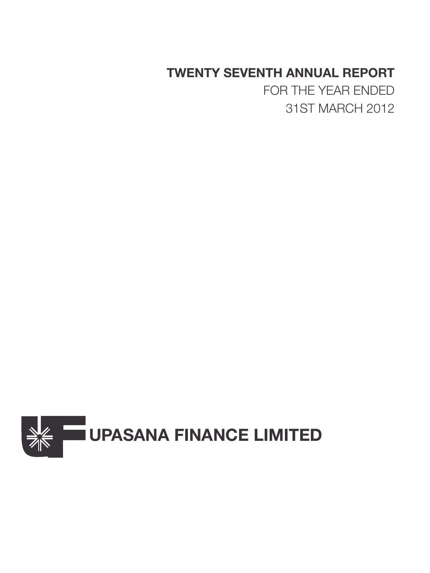# **TWENTY SEVENTH ANNUAL REPORT**

FOR THE YEAR ENDED 31ST MARCH 2012

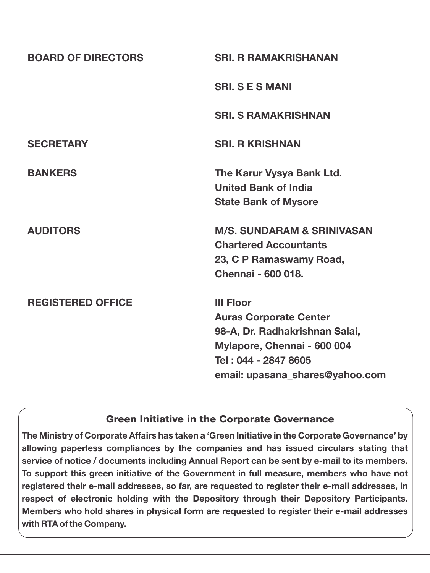| <b>BOARD OF DIRECTORS</b> | <b>SRI. R RAMAKRISHANAN</b>                                                                                                                                                   |
|---------------------------|-------------------------------------------------------------------------------------------------------------------------------------------------------------------------------|
|                           | <b>SRI. S E S MANI</b>                                                                                                                                                        |
|                           | <b>SRI. S RAMAKRISHNAN</b>                                                                                                                                                    |
| <b>SECRETARY</b>          | <b>SRI. R KRISHNAN</b>                                                                                                                                                        |
| <b>BANKERS</b>            | The Karur Vysya Bank Ltd.<br><b>United Bank of India</b><br><b>State Bank of Mysore</b>                                                                                       |
| <b>AUDITORS</b>           | <b>M/S. SUNDARAM &amp; SRINIVASAN</b><br><b>Chartered Accountants</b><br>23, C P Ramaswamy Road,<br>Chennai - 600 018.                                                        |
| <b>REGISTERED OFFICE</b>  | <b>III Floor</b><br><b>Auras Corporate Center</b><br>98-A, Dr. Radhakrishnan Salai,<br>Mylapore, Chennai - 600 004<br>Tel: 044 - 2847 8605<br>email: upasana_shares@yahoo.com |

# Green Initiative in the Corporate Governance

**The Ministry of Corporate Affairs has taken a 'Green Initiative in the Corporate Governance' by allowing paperless compliances by the companies and has issued circulars stating that service of notice / documents including Annual Report can be sent by e-mail to its members. To support this green initiative of the Government in full measure, members who have not registered their e-mail addresses, so far, are requested to register their e-mail addresses, in respect of electronic holding with the Depository through their Depository Participants. Members who hold shares in physical form are requested to register their e-mail addresses with RTA of the Company.**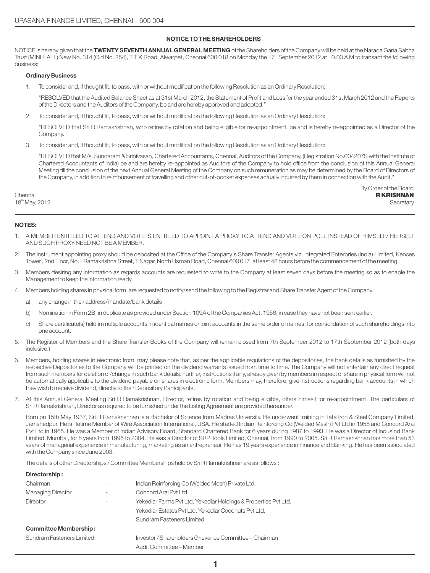## **NOTICE TO THE SHAREHOLDERS**

NOTICE is hereby given that the **TWENTY SEVENTH ANNUAL GENERAL MEETING** of the Shareholders of the Company will be held at the Narada Gana Sabha Trust (MINI HALL) New No. 314 (Old No. 254), TTK Road, Alwarpet, Chennai 600 018 on Monday the 17<sup>th</sup> September 2012 at 10.00 A M to transact the following business:

### **Ordinary Business**

1. To consider and, if thought fit, to pass, with or without modification the following Resolution as an Ordinary Resolution:

"RESOLVED that the Audited Balance Sheet as at 31st March 2012, the Statement of Profit and Loss for the year ended 31st March 2012 and the Reports of the Directors and the Auditors of the Company, be and are hereby approved and adopted."

2. To consider and, if thought fit, to pass, with or without modification the following Resolution as an Ordinary Resolution:

"RESOLVED that Sri R Ramakrishnan, who retires by rotation and being eligible for re-appointment, be and is hereby re-appointed as a Director of the Company."

3. To consider and, if thought fit, to pass, with or without modification the following Resolution as an Ordinary Resolution:

"RESOLVED that M/s. Sundaram & Srinivasan, Chartered Accountants, Chennai, Auditors of the Company, (Registration No.004207S with the Institute of Chartered Accountants of India) be and are hereby re-appointed as Auditors of the Company to hold office from the conclusion of this Annual General Meeting till the conclusion of the next Annual General Meeting of the Company on such remuneration as may be determined by the Board of Directors of the Company, in addition to reimbursement of travelling and other out-of-pocket expenses actually incurred by them in connection with the Audit."

18<sup>m</sup> May, 2012 Secretary Secretary Secretary Secretary Secretary Secretary Secretary Secretary Secretary Secretary

By Order of the Board<br>**R KRISHNAN** Chennai **R KRISHNAN** Chennai R Ann an Dùbhailte anns an Dùbhailte anns an Dùbhailte anns an Dùbhailte anns an Dùbhailte anns an Dùbhailte anns an Dùbhailte anns an Dùbhailte anns an Dùbhailte anns an Dùbhailte anns an Dùbh

## **NOTES:**

- 1. A MEMBER ENTITLED TO ATTEND AND VOTE IS ENTITLED TO APPOINT A PROXY TO ATTEND AND VOTE ON POLL INSTEAD OF HIMSELF/ HERSELF AND SUCH PROXY NEED NOT BE A MEMBER.
- 2. The instrument appointing proxy should be deposited at the Office of the Company's Share Transfer Agents viz. Integrated Enterpries (India) Limited, Kences Tower , 2nd Floor, No.1 Ramakrishna Street, T Nagar, North Usman Road, Chennai 600 017 at least 48 hours before the commencement of the meeting.
- 3. Members desiring any information as regards accounts are requested to write to the Company at least seven days before the meeting so as to enable the Management to keep the information ready.
- 4. Members holding shares in physical form, are requested to notify/send the following to the Registrar and Share Transfer Agent of the Company
	- a) any change in their address/mandate/bank details
	- b) Nomination in Form 2B, in duplicate as provided under Section 109A of the Companies Act, 1956, in case they have not been sent earlier.
	- c) Share certificate(s) held in multiple accounts in identical names or joint accounts in the same order of names, for consolidation of such shareholdings into one account.
- 5. The Register of Members and the Share Transfer Books of the Company will remain closed from 7th September 2012 to 17th September 2012 (both days inclusive.)
- 6. Members, holding shares in electronic from, may please note that, as per the applicable regulations of the depositories, the bank details as furnished by the respective Depositories to the Company will be printed on the dividend warrants issued from time to time. The Company will not entertain any direct request from such members for deletion of/change in such bank details. Further, instructions if any, already given by members in respect of share in physical form will not be automatically applicable to the dividend payable on shares in electronic form. Members may, therefore, give instructions regarding bank accounts in which they wish to receive dividend, directly to their Depository Participants.
- 7. At this Annual General Meeting Sri R Ramakrishnan, Director, retires by rotation and being eligible, offers himself for re-appointment. The particulars of Sri R Ramakrishnan, Director as required to be furnished under the Listing Agreement are provided hereunder.

Born on 15th May 1937, Sri R Ramakrishnan is a Bachelor of Science from Madras University. He underwent training in Tata Iron & Steel Company Limited, Jamshedpur. He is lifetime Member of Wire Association International, USA. He started Indian Reinforcing Co (Welded Mesh) Pvt Ltd in 1958 and Concord Arai Pvt Ltd in 1965. He was a Member of Indian Advisory Board, Standard Chartered Bank for 6 years during 1987 to 1993. He was a Director of IndusInd Bank Limited, Mumbai, for 8 years from 1996 to 2004. He was a Director of SRP Tools Limited, Chennai, from 1990 to 2005. Sri R Ramakrishnan has more than 53 years of managerial experience in manufacturing, marketing as an entrepreneur. He has 19 years experience in Finance and Banking. He has been associated with the Company since June 2003.

The details of other Directorships / Committee Memberships held by Sri R Ramakrishnan are as follows :

| Directorship:                |                          |                                                                 |
|------------------------------|--------------------------|-----------------------------------------------------------------|
| Chairman                     | $\overline{\phantom{a}}$ | Indian Reinforcing Co (Welded Mesh) Private Ltd.                |
| Managing Director            | ۰                        | Concord Arai Pvt Ltd                                            |
| Director                     | $\overline{\phantom{a}}$ | Yekediar Farms Pvt Ltd, Yekediar Holdings & Properties Pvt Ltd, |
|                              |                          | Yekediar Estates Pvt Ltd, Yekediar Coconuts Pvt Ltd,            |
|                              |                          | Sundram Fasteners Limited                                       |
| <b>Committee Membership:</b> |                          |                                                                 |
| Sundram Fasteners Limited    | ٠                        | Investor / Shareholders Grievance Committee - Chairman          |
|                              |                          | Audit Committee – Member                                        |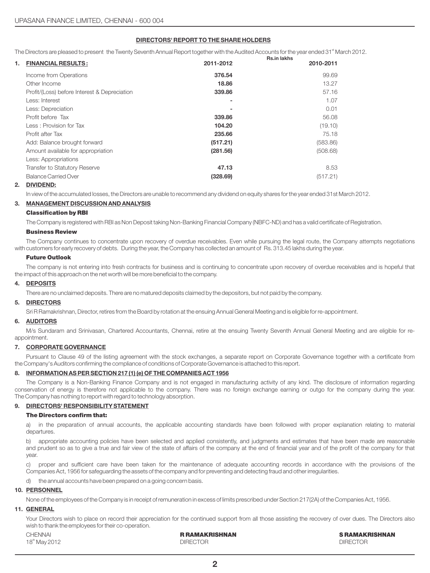## **DIRECTORS' REPORT TO THE SHARE HOLDERS**

The Directors are pleased to present the Twenty Seventh Annual Report together with the Audited Accounts for the year ended 31<sup>st</sup> March 2012.

| 1. | <b>FINANCIAL RESULTS:</b>                    | 2011-2012      | Rs.in lakhs<br>2010-2011 |  |
|----|----------------------------------------------|----------------|--------------------------|--|
|    | Income from Operations                       | 376.54         | 99.69                    |  |
|    | Other Income                                 | 18.86          | 13.27                    |  |
|    | Profit/(Loss) before Interest & Depreciation | 339.86         | 57.16                    |  |
|    | Less: Interest                               | $\blacksquare$ | 1.07                     |  |
|    | Less: Depreciation                           | $\blacksquare$ | 0.01                     |  |
|    | Profit before Tax                            | 339.86         | 56.08                    |  |
|    | Less: Provision for Tax                      | 104.20         | (19.10)                  |  |
|    | Profit after Tax                             | 235.66         | 75.18                    |  |
|    | Add: Balance brought forward                 | (517.21)       | (583.86)                 |  |
|    | Amount available for appropriation           | (281.56)       | (508.68)                 |  |
|    | Less: Appropriations                         |                |                          |  |
|    | Transfer to Statutory Reserve                | 47.13          | 8.53                     |  |
|    | Balance Carried Over                         | (328.69)       | (517.21)                 |  |
|    |                                              |                |                          |  |

## **2. DIVIDEND:**

In view of the accumulated losses, the Directors are unable to recommend any dividend on equity shares for the year ended 31st March 2012.

## **3. MANAGEMENT DISCUSSION AND ANALYSIS**

## Classification by RBI

The Company is registered with RBI as Non Deposit taking Non-Banking Financial Company (NBFC-ND) and has a valid certificate of Registration.

### Business Review

The Company continues to concentrate upon recovery of overdue receivables. Even while pursuing the legal route, the Company attempts negotiations with customers for early recovery of debts. During the year, the Company has collected an amount of Rs. 313.45 lakhs during the year.

### Future Outlook

The company is not entering into fresh contracts for business and is continuing to concentrate upon recovery of overdue receivables and is hopeful that the impact of this approach on the net worth will be more beneficial to the company.

### **4. DEPOSITS**

There are no unclaimed deposits. There are no matured deposits claimed by the depositors, but not paid by the company.

## **5. DIRECTORS**

Sri R Ramakrishnan, Director, retires from the Board by rotation at the ensuing Annual General Meeting and is eligible for re-appointment.

## **6. AUDITORS**

M/s Sundaram and Srinivasan, Chartered Accountants, Chennai, retire at the ensuing Twenty Seventh Annual General Meeting and are eligible for reappointment.

## **7. CORPORATE GOVERNANCE**

Pursuant to Clause 49 of the listing agreement with the stock exchanges, a separate report on Corporate Governance together with a certificate from the Company's Auditors confirming the compliance of conditions of Corporate Governance is attached to this report.

## **8. INFORMATION AS PER SECTION 217 (1) (e) OF THE COMPANIES ACT 1956**

The Company is a Non-Banking Finance Company and is not engaged in manufacturing activity of any kind. The disclosure of information regarding conservation of energy is therefore not applicable to the company. There was no foreign exchange earning or outgo for the company during the year. The Company has nothing to report with regard to technology absorption.

## **9. DIRECTORS' RESPONSIBILITY STATEMENT**

## The Directors confirm that:

a) in the preparation of annual accounts, the applicable accounting standards have been followed with proper explanation relating to material departures.

b) appropriate accounting policies have been selected and applied consistently, and judgments and estimates that have been made are reasonable and prudent so as to give a true and fair view of the state of affairs of the company at the end of financial year and of the profit of the company for that year.

c) proper and sufficient care have been taken for the maintenance of adequate accounting records in accordance with the provisions of the Companies Act, 1956 for safeguarding the assets of the company and for preventing and detecting fraud and other irregularities.

the annual accounts have been prepared on a going concern basis.

## **10. PERSONNEL**

None of the employees of the Company is in receipt of remuneration in excess of limits prescribed under Section 217(2A) of the Companies Act, 1956.

## **11. GENERAL**

Your Directors wish to place on record their appreciation for the continued support from all those assisting the recovery of over dues. The Directors also wish to thank the employees for their co-operation.

| <b>CHENNAI</b>            | <b>R RAMAKRISHNAN</b> | <b>S RAMAKRISHNAN</b> |
|---------------------------|-----------------------|-----------------------|
| 18 <sup>th</sup> May 2012 | <b>DIRECTOR</b>       | <b>DIRECTOR</b>       |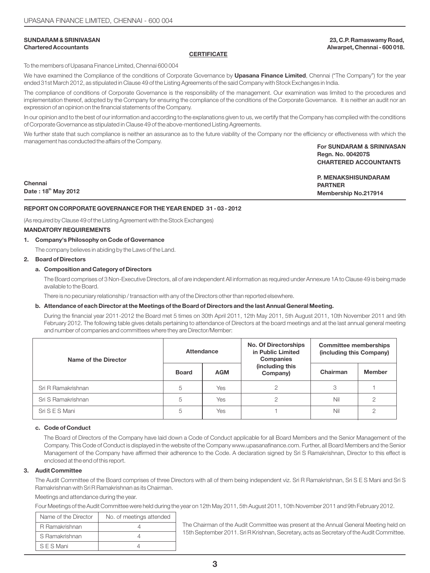## **SUNDARAM & SRINIVASAN 23, C.P. Ramaswamy Road, Chartered Accountants Alwarpet, Chennai - 600 018.**

## **CERTIFICATE**

To the members of Upasana Finance Limited, Chennai 600 004

We have examined the Compliance of the conditions of Corporate Governance by **Upasana Finance Limited**, Chennai ("The Company") for the year ended 31st March 2012, as stipulated in Clause 49 of the Listing Agreements of the said Company with Stock Exchanges in India.

The compliance of conditions of Corporate Governance is the responsibility of the management. Our examination was limited to the procedures and implementation thereof, adopted by the Company for ensuring the compliance of the conditions of the Corporate Governance. It is neither an audit nor an expression of an opinion on the financial statements of the Company.

In our opinion and to the best of our information and according to the explanations given to us, we certify that the Company has complied with the conditions of Corporate Governance as stipulated in Clause 49 of the above-mentioned Listing Agreements.

We further state that such compliance is neither an assurance as to the future viability of the Company nor the efficiency or effectiveness with which the management has conducted the affairs of the Company. **For SUNDARAM & SRINIVASAN**

**Regn. No. 004207S CHARTERED ACCOUNTANTS P. MENAKSHISUNDARAM PARTNER Membership No.217914 Chennai th Date : 18 May 2012**

## **REPORT ON CORPORATE GOVERNANCE FOR THE YEAR ENDED 31 - 03 - 2012**

(As required by Clause 49 of the Listing Agreement with the Stock Exchanges)

## **MANDATORY REQUIREMENTS**

## **1. Company's Philosophy on Code of Governance**

The company believes in abiding by the Laws of the Land.

## **2. Board of Directors**

### **a. Composition and Category of Directors**

The Board comprises of 3 Non-Executive Directors, all of are independent All information as required under Annexure 1A to Clause 49 is being made available to the Board.

There is no pecuniary relationship / transaction with any of the Directors other than reported elsewhere.

### **b. Attendance of each Director at the Meetings of the Board of Directors and the last Annual General Meeting.**

During the financial year 2011-2012 the Board met 5 times on 30th April 2011, 12th May 2011, 5th August 2011, 10th November 2011 and 9th February 2012. The following table gives details pertaining to attendance of Directors at the board meetings and at the last annual general meeting and number of companies and committees where they are Director/Member:

| Name of the Director | Attendance   |            | <b>No. Of Directorships</b><br>in Public Limited<br>Companies | <b>Committee memberships</b><br>(including this Company) |               |
|----------------------|--------------|------------|---------------------------------------------------------------|----------------------------------------------------------|---------------|
|                      | <b>Board</b> | <b>AGM</b> | (including this<br>Company)                                   | Chairman                                                 | <b>Member</b> |
| Sri R Ramakrishnan   | 5            | Yes        | 2                                                             | З                                                        |               |
| Sri S Ramakrishnan   | 5            | Yes        |                                                               | Nil                                                      |               |
| Sri S E S Mani       | 5            | Yes        |                                                               | Nil                                                      | C             |

## **c. Code of Conduct**

The Board of Directors of the Company have laid down a Code of Conduct applicable for all Board Members and the Senior Management of the Company. This Code of Conduct is displayed in the website of the Company www.upasanafinance.com. Further, all Board Members and the Senior Management of the Company have affirmed their adherence to the Code. A declaration signed by Sri S Ramakrishnan, Director to this effect is enclosed at the end of this report.

## **3. Audit Committee**

The Audit Committee of the Board comprises of three Directors with all of them being independent viz. Sri R Ramakrishnan, Sri S E S Mani and Sri S Ramakrishnan with Sri R Ramakrishnan as its Chairman.

Meetings and attendance during the year.

Four Meetings of the Audit Committee were held during the year on 12th May 2011, 5th August 2011, 10th November 2011 and 9th February 2012.

| Name of the Director | No. of meetings attended |
|----------------------|--------------------------|
| R Ramakrishnan       |                          |
| S Ramakrishnan       |                          |
| S E S Mani           |                          |

The Chairman of the Audit Committee was present at the Annual General Meeting held on 15th September 2011. Sri R Krishnan, Secretary, acts as Secretary of the Audit Committee.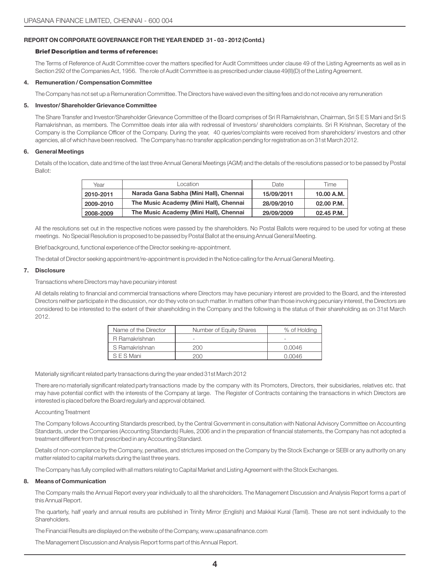## **REPORT ON CORPORATE GOVERNANCE FOR THE YEAR ENDED 31 - 03 - 2012 (Contd.)**

## Brief Description and terms of reference:

Section 292 of the Companies Act, 1956. The role of Audit Committee is as prescribed under clause 49(II)(D) of the Listing Agreement. The Terms of Reference of Audit Committee cover the matters specified for Audit Committees under clause 49 of the Listing Agreements as well as in

### **4. Remuneration / Compensation Committee**

The Company has not set up a Remuneration Committee. The Directors have waived even the sitting fees and do not receive any remuneration

### **5. Investor/ Shareholder Grievance Committee**

The Share Transfer and Investor/Shareholder Grievance Committee of the Board comprises of Sri R Ramakrishnan, Chairman, Sri S E S Mani and Sri S Ramakrishnan, as members. The Committee deals inter alia with redressal of Investors/ shareholders complaints. Sri R Krishnan, Secretary of the Company is the Compliance Officer of the Company. During the year, 40 queries/complaints were received from shareholders/ investors and other agencies, all of which have been resolved. The Company has no transfer application pending for registration as on 31st March 2012.

### **6. General Meetings**

Details of the location, date and time of the last three Annual General Meetings (AGM) and the details of the resolutions passed or to be passed by Postal Ballot:

| Year      | Location                               | Date       | Time         |
|-----------|----------------------------------------|------------|--------------|
| 2010-2011 | Narada Gana Sabha (Mini Hall), Chennai | 15/09/2011 | 10.00 A.M.   |
| 2009-2010 | The Music Academy (Mini Hall), Chennai | 28/09/2010 | $02.00$ P.M. |
| 2008-2009 | The Music Academy (Mini Hall), Chennai | 29/09/2009 | $02.45$ P.M. |

All the resolutions set out in the respective notices were passed by the shareholders. No Postal Ballots were required to be used for voting at these meetings. No Special Resolution is proposed to be passed by Postal Ballot at the ensuing Annual General Meeting.

Brief background, functional experience of the Director seeking re-appointment.

The detail of Director seeking appointment/re-appointment is provided in the Notice calling for the Annual General Meeting.

### **7. Disclosure**

Transactions where Directors may have pecuniary interest

All details relating to financial and commercial transactions where Directors may have pecuniary interest are provided to the Board, and the interested Directors neither participate in the discussion, nor do they vote on such matter. In matters other than those involving pecuniary interest, the Directors are considered to be interested to the extent of their shareholding in the Company and the following is the status of their shareholding as on 31st March 2012.

| Name of the Director | Number of Equity Shares | % of Holding             |
|----------------------|-------------------------|--------------------------|
| R Ramakrishnan       | -                       | $\overline{\phantom{a}}$ |
| S Ramakrishnan       | 200                     | 0.0046                   |
| S F S Mani           | 200                     | 0.0046                   |

Materially significant related party transactions during the year ended 31st March 2012

There are no materially significant related party transactions made by the company with its Promoters, Directors, their subsidiaries, relatives etc. that may have potential conflict with the interests of the Company at large. The Register of Contracts containing the transactions in which Directors are interested is placed before the Board regularly and approval obtained.

## Accounting Treatment

The Company follows Accounting Standards prescribed, by the Central Government in consultation with National Advisory Committee on Accounting Standards, under the Companies (Accounting Standards) Rules, 2006 and in the preparation of financial statements, the Company has not adopted a treatment different from that prescribed in any Accounting Standard.

Details of non-compliance by the Company, penalties, and strictures imposed on the Company by the Stock Exchange or SEBI or any authority on any matter related to capital markets during the last three years.

The Company has fully complied with all matters relating to Capital Market and Listing Agreement with the Stock Exchanges.

## **8. Means of Communication**

The Company mails the Annual Report every year individually to all the shareholders. The Management Discussion and Analysis Report forms a part of this Annual Report.

The quarterly, half yearly and annual results are published in Trinity Mirror (English) and Makkal Kural (Tamil). These are not sent individually to the Shareholders.

The Financial Results are displayed on the website of the Company, www.upasanafinance.com

The Management Discussion and Analysis Report forms part of this Annual Report.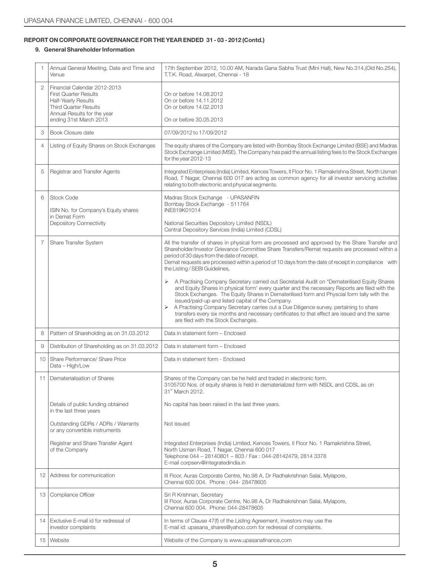## **REPORT ON CORPORATE GOVERNANCE FOR THE YEAR ENDED 31 - 03 - 2012 (Contd.)**

## **9. General Shareholder Information**

| 1              | Annual General Meeting, Date and Time and<br>Venue                                                                                                                           | 17th September 2012, 10.00 AM, Narada Gana Sabha Trust (Mini Hall), New No.314, (Old No.254),<br>T.T.K. Road, Alwarpet, Chennai - 18                                                                                                                                                                                                                                                                                                                                                                                                                                                                                                                                                                                                                                                                                                                                                                                                                                                                                                        |
|----------------|------------------------------------------------------------------------------------------------------------------------------------------------------------------------------|---------------------------------------------------------------------------------------------------------------------------------------------------------------------------------------------------------------------------------------------------------------------------------------------------------------------------------------------------------------------------------------------------------------------------------------------------------------------------------------------------------------------------------------------------------------------------------------------------------------------------------------------------------------------------------------------------------------------------------------------------------------------------------------------------------------------------------------------------------------------------------------------------------------------------------------------------------------------------------------------------------------------------------------------|
| $\overline{2}$ | Financial Calendar 2012-2013<br><b>First Quarter Results</b><br>Half-Yearly Results<br><b>Third Quarter Results</b><br>Annual Results for the year<br>ending 31st March 2013 | On or before 14.08.2012<br>On or before 14.11.2012<br>On or before 14.02.2013<br>On or before 30.05.2013                                                                                                                                                                                                                                                                                                                                                                                                                                                                                                                                                                                                                                                                                                                                                                                                                                                                                                                                    |
| 3              | Book Closure date                                                                                                                                                            | 07/09/2012 to 17/09/2012                                                                                                                                                                                                                                                                                                                                                                                                                                                                                                                                                                                                                                                                                                                                                                                                                                                                                                                                                                                                                    |
| $\overline{4}$ | Listing of Equity Shares on Stock Exchanges                                                                                                                                  | The equity shares of the Company are listed with Bombay Stock Exchange Limited (BSE) and Madras<br>Stock Exchange Limited (MSE). The Company has paid the annual listing fees to the Stock Exchanges<br>for the year 2012-13                                                                                                                                                                                                                                                                                                                                                                                                                                                                                                                                                                                                                                                                                                                                                                                                                |
| 5              | Registrar and Transfer Agents                                                                                                                                                | Integrated Enterprises (India) Limited, Kences Towers, II Floor No. 1 Ramakrishna Street, North Usman<br>Road, T Nagar, Chennai 600 017 are acting as common agency for all investor servicing activities<br>relating to both electronic and physical segments.                                                                                                                                                                                                                                                                                                                                                                                                                                                                                                                                                                                                                                                                                                                                                                             |
| 6              | <b>Stock Code</b><br>ISIN No. for Company's Equity shares<br>in Demat Form<br>Depository Connectivity                                                                        | Madras Stock Exchange - UPASANFIN<br>Bombay Stock Exchange - 511764<br>INE819K01014<br>National Securities Depository Limited (NSDL)                                                                                                                                                                                                                                                                                                                                                                                                                                                                                                                                                                                                                                                                                                                                                                                                                                                                                                        |
| 7              | Share Transfer System                                                                                                                                                        | Central Depository Services (India) Limited (CDSL)<br>All the transfer of shares in physical form are processed and approved by the Share Transfer and<br>Shareholder/Investor Grievance Committee Share Transfers/Remat requests are processed within a<br>period of 30 days from the date of receipt.<br>Demat requests are processed within a period of 10 days from the date of receipt in compliance with<br>the Listing / SEBI Guidelines,<br>A Practising Company Secretary carried out Secretarial Audit on "Dematerilised Equity Shares"<br>and Equity Shares in physical form' every quarter and the necessary Reports are filed with the<br>Stock Exchanges. The Equity Shares in Dematerilised form and Physcial form tally with the<br>issued/paid-up and listed capital of the Company.<br>A Practising Company Secretary carries out a Due Diligence survey, pertaining to share<br>⋗<br>transfers every six months and necessary certificates to that effect are issued and the same<br>are filed with the Stock Exchanges. |
| 8              | Pattern of Shareholding as on 31.03.2012                                                                                                                                     | Data in statement form - Enclosed                                                                                                                                                                                                                                                                                                                                                                                                                                                                                                                                                                                                                                                                                                                                                                                                                                                                                                                                                                                                           |
| 9              | Distribution of Shareholding as on 31.03.2012                                                                                                                                | Data in statement form - Enclosed                                                                                                                                                                                                                                                                                                                                                                                                                                                                                                                                                                                                                                                                                                                                                                                                                                                                                                                                                                                                           |
| 10             | Share Performance/ Share Price<br>Data - High/Low                                                                                                                            | Data in statement form - Enclosed                                                                                                                                                                                                                                                                                                                                                                                                                                                                                                                                                                                                                                                                                                                                                                                                                                                                                                                                                                                                           |
| 11             | Dematerialisation of Shares                                                                                                                                                  | Shares of the Company can be he held and traded in electronic form.<br>3105700 Nos. of equity shares is held in dematerialized form with NSDL and CDSL as on<br>31 <sup>st</sup> March 2012.                                                                                                                                                                                                                                                                                                                                                                                                                                                                                                                                                                                                                                                                                                                                                                                                                                                |
|                | Details of public funding obtained<br>in the last three years                                                                                                                | No capital has been raised in the last three years.                                                                                                                                                                                                                                                                                                                                                                                                                                                                                                                                                                                                                                                                                                                                                                                                                                                                                                                                                                                         |
|                | Outstanding GDRs / ADRs / Warrants<br>or any convertible instruments                                                                                                         | Not issued                                                                                                                                                                                                                                                                                                                                                                                                                                                                                                                                                                                                                                                                                                                                                                                                                                                                                                                                                                                                                                  |
|                | Registrar and Share Transfer Agent<br>of the Company                                                                                                                         | Integrated Enterprises (India) Limited, Kences Towers, II Floor No. 1 Ramakrishna Street,<br>North Usman Road, T Nagar, Chennai 600 017<br>Telephone 044 - 28140801 - 803 / Fax: 044-28142479, 2814 3378<br>E-mail corpserv@integratedindia.in                                                                                                                                                                                                                                                                                                                                                                                                                                                                                                                                                                                                                                                                                                                                                                                              |
| 12             | Address for communication                                                                                                                                                    | III Floor, Auras Corporate Centre, No.98 A, Dr Radhakrishnan Salai, Mylapore,<br>Chennai 600 004. Phone: 044-28478605                                                                                                                                                                                                                                                                                                                                                                                                                                                                                                                                                                                                                                                                                                                                                                                                                                                                                                                       |
| 13             | Compliance Officer                                                                                                                                                           | Sri R Krishnan, Secretary<br>III Floor, Auras Corporate Centre, No.98 A, Dr Radhakrishnan Salai, Mylapore,<br>Chennai 600 004. Phone: 044-28478605                                                                                                                                                                                                                                                                                                                                                                                                                                                                                                                                                                                                                                                                                                                                                                                                                                                                                          |
| 14             | Exclusive E-mail id for redressal of<br>investor complaints                                                                                                                  | In terms of Clause 47(f) of the Listing Agreement, investors may use the<br>E-mail id: upasana shares@yahoo.com for redressal of complaints.                                                                                                                                                                                                                                                                                                                                                                                                                                                                                                                                                                                                                                                                                                                                                                                                                                                                                                |
|                | 15   Website                                                                                                                                                                 | Website of the Company is www.upasanafinance.com                                                                                                                                                                                                                                                                                                                                                                                                                                                                                                                                                                                                                                                                                                                                                                                                                                                                                                                                                                                            |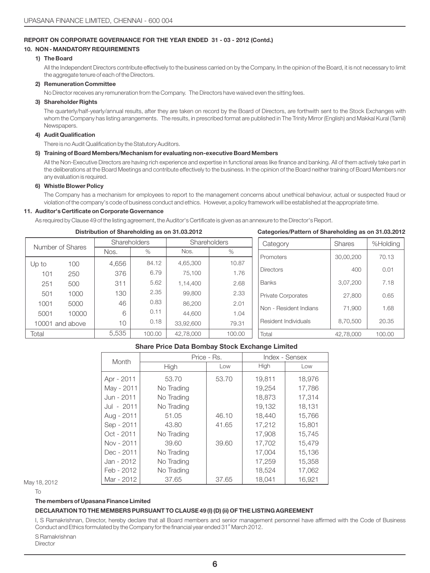## **REPORT ON CORPORATE GOVERNANCE FOR THE YEAR ENDED 31 - 03 - 2012 (Contd.)**

## **10. NON - MANDATORY REQUIREMENTS**

## **1) The Board**

All the Independent Directors contribute effectively to the business carried on by the Company. In the opinion of the Board, it is not necessary to limit the aggregate tenure of each of the Directors.

## **2) Remuneration Committee**

No Director receives any remuneration from the Company. The Directors have waived even the sitting fees.

## **3) Shareholder Rights**

The quarterly/half-yearly/annual results, after they are taken on record by the Board of Directors, are forthwith sent to the Stock Exchanges with whom the Company has listing arrangements. The results, in prescribed format are published in The Trinity Mirror (English) and Makkal Kural (Tamil) Newspapers.

### **4) Audit Qualification**

There is no Audit Qualification by the Statutory Auditors.

### **5) Training of Board Members/Mechanism for evaluating non-executive Board Members**

All the Non-Executive Directors are having rich experience and expertise in functional areas like finance and banking. All of them actively take part in the deliberations at the Board Meetings and contribute effectively to the business. In the opinion of the Board neither training of Board Members nor any evaluation is required.

### **6) Whistle Blower Policy**

The Company has a mechanism for employees to report to the management concerns about unethical behaviour, actual or suspected fraud or violation of the company's code of business conduct and ethics. However, a policy framework will be established at the appropriate time.

## **11. Auditor's Certificate on Corporate Governance**

As required by Clause 49 of the listing agreement, the Auditor's Certificate is given as an annexure to the Director's Report.

## **Categories/Pattern of Shareholding as on 31.03.2012**

| Number of Shares |       | Shareholders<br>Shareholders |        |           | Category | Shares                    | %Holding  |        |
|------------------|-------|------------------------------|--------|-----------|----------|---------------------------|-----------|--------|
|                  |       | Nos.                         | $\%$   | Nos.      | $\%$     | Promoters                 | 30.00.200 | 70.13  |
| $Up$ to          | 100   | 4.656                        | 84.12  | 4,65,300  | 10.87    |                           |           |        |
| 101              | 250   | 376                          | 6.79   | 75.100    | 1.76     | <b>Directors</b>          | 400       | 0.01   |
| 251              | 500   | 311                          | 5.62   | 1.14.400  | 2.68     | <b>Banks</b>              | 3.07.200  | 7.18   |
| 501              | 1000  | 130                          | 2.35   | 99.800    | 2.33     | <b>Private Corporates</b> | 27,800    | 0.65   |
| 1001             | 5000  | 46                           | 0.83   | 86,200    | 2.01     |                           |           |        |
| 5001             | 10000 | 6                            | 0.11   | 44,600    | 1.04     | Non - Resident Indians    | 71.900    | 1.68   |
| 10001 and above  |       | 10                           | 0.18   | 33.92.600 | 79.31    | Resident Individuals      | 8.70.500  | 20.35  |
| Total            |       | 5.535                        | 100.00 | 42.78.000 | 100.00   | Total                     | 42.78.000 | 100.00 |
|                  |       |                              |        |           |          |                           |           |        |

## **Share Price Data Bombay Stock Exchange Limited**

| Month      | Price - Rs. |       | Index - Sensex |        |
|------------|-------------|-------|----------------|--------|
|            | High        | Low   | High           | Low    |
| Apr - 2011 | 53.70       | 53.70 | 19.811         | 18.976 |
| May - 2011 | No Trading  |       | 19,254         | 17,786 |
| Jun - 2011 | No Trading  |       | 18,873         | 17,314 |
| Jul - 2011 | No Trading  |       | 19.132         | 18,131 |
| Aug - 2011 | 51.05       | 46.10 | 18,440         | 15,766 |
| Sep - 2011 | 43.80       | 41.65 | 17.212         | 15.801 |
| Oct - 2011 | No Trading  |       | 17.908         | 15.745 |
| Nov - 2011 | 39.60       | 39.60 | 17.702         | 15.479 |
| Dec - 2011 | No Trading  |       | 17.004         | 15,136 |
| Jan - 2012 | No Trading  |       | 17,259         | 15,358 |
| Feb - 2012 | No Trading  |       | 18,524         | 17,062 |
| Mar - 2012 | 37.65       | 37.65 | 18.041         | 16.921 |

May 18, 2012

To

## **The members of Upasana Finance Limited**

## **DECLARATION TO THE MEMBERS PURSUANT TO CLAUSE 49 (I) (D) (ii) OF THE LISTING AGREEMENT**

I, S Ramakrishnan, Director, hereby declare that all Board members and senior management personnel have affirmed with the Code of Business Conduct and Ethics formulated by the Company for the financial year ended 31<sup>st</sup> March 2012.

S Ramakrishnan

**Director**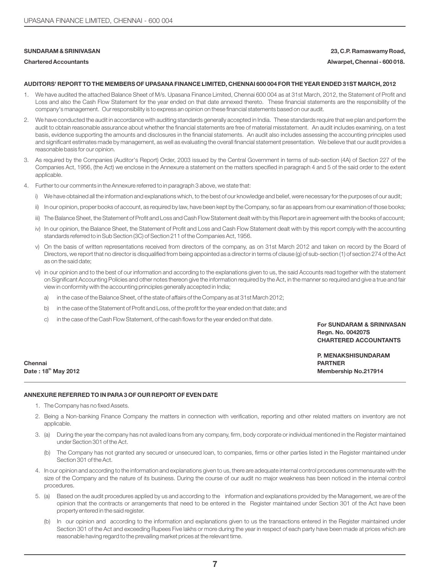## **SUNDARAM & SRINIVASAN 23, C.P. Ramaswamy Road,**

## **Chartered Accountants Alwarpet, Chennai - 600 018.**

### **AUDITORS' REPORT TO THE MEMBERS OF UPASANA FINANCE LIMITED, CHENNAI 600 004 FOR THE YEAR ENDED 31ST MARCH, 2012**

- 1. We have audited the attached Balance Sheet of M/s. Upasana Finance Limited, Chennai 600 004 as at 31st March, 2012, the Statement of Profit and Loss and also the Cash Flow Statement for the year ended on that date annexed thereto. These financial statements are the responsibility of the company's management. Our responsibility is to express an opinion on these financial statements based on our audit.
- 2. We have conducted the audit in accordance with auditing standards generally accepted in India. These standards require that we plan and perform the audit to obtain reasonable assurance about whether the financial statements are free of material misstatement. An audit includes examining, on a test basis, evidence supporting the amounts and disclosures in the financial statements. An audit also includes assessing the accounting principles used and significant estimates made by management, as well as evaluating the overall financial statement presentation. We believe that our audit provides a reasonable basis for our opinion.
- 3. As required by the Companies (Auditor's Report) Order, 2003 issued by the Central Government in terms of sub-section (4A) of Section 227 of the Companies Act, 1956, (the Act) we enclose in the Annexure a statement on the matters specified in paragraph 4 and 5 of the said order to the extent applicable.
- 4. Further to our comments in the Annexure referred to in paragraph 3 above, we state that:
	- i) We have obtained all the information and explanations which, to the best of our knowledge and belief, were necessary for the purposes of our audit;
	- ii) In our opinion, proper books of account, as required by law, have been kept by the Company, so far as appears from our examination of those books;
	- iii) The Balance Sheet, the Statement of Profit and Loss and Cash Flow Statement dealt with by this Report are in agreement with the books of account;
	- iv) In our opinion, the Balance Sheet, the Statement of Profit and Loss and Cash Flow Statement dealt with by this report comply with the accounting standards referred to in Sub Section (3C) of Section 211 of the Companies Act, 1956.
	- v) On the basis of written representations received from directors of the company, as on 31st March 2012 and taken on record by the Board of Directors, we report that no director is disqualified from being appointed as a director in terms of clause (g) of sub-section (1) of section 274 of the Act as on the said date;
	- vi) in our opinion and to the best of our information and according to the explanations given to us, the said Accounts read together with the statement on Significant Accounting Policies and other notes thereon give the information required by the Act, in the manner so required and give a true and fair view in conformity with the accounting principles generally accepted in India;
		- a) in the case of the Balance Sheet, of the state of affairs of the Company as at 31st March 2012;
		- b) in the case of the Statement of Profit and Loss, of the profit for the year ended on that date; and
		- c) in the case of the Cash Flow Statement, of the cash flows for the year ended on that date.

**For SUNDARAM & SRINIVASAN Regn. No. 004207S CHARTERED ACCOUNTANTS**

**Chennai th Date : 18 May 2012** **P. MENAKSHISUNDARAM PARTNER Membership No.217914**

## **ANNEXURE REFERRED TO IN PARA 3 OF OUR REPORT OF EVEN DATE**

- 1. The Company has no fixed Assets.
- 2. Being a Non-banking Finance Company the matters in connection with verification, reporting and other related matters on inventory are not applicable.
- 3. (a) During the year the company has not availed loans from any company, firm, body corporate or individual mentioned in the Register maintained under Section 301 of the Act.
	- (b) The Company has not granted any secured or unsecured loan, to companies, firms or other parties listed in the Register maintained under Section 301 of the Act.
- 4. In our opinion and according to the information and explanations given to us, there are adequate internal control procedures commensurate with the size of the Company and the nature of its business. During the course of our audit no major weakness has been noticed in the internal control procedures.
- 5. (a) Based on the audit procedures applied by us and according to the information and explanations provided by the Management, we are of the opinion that the contracts or arrangements that need to be entered in the Register maintained under Section 301 of the Act have been property entered in the said register.
	- (b) In our opinion and according to the information and explanations given to us the transactions entered in the Register maintained under Section 301 of the Act and exceeding Rupees Five lakhs or more during the year in respect of each party have been made at prices which are reasonable having regard to the prevailing market prices at the relevant time.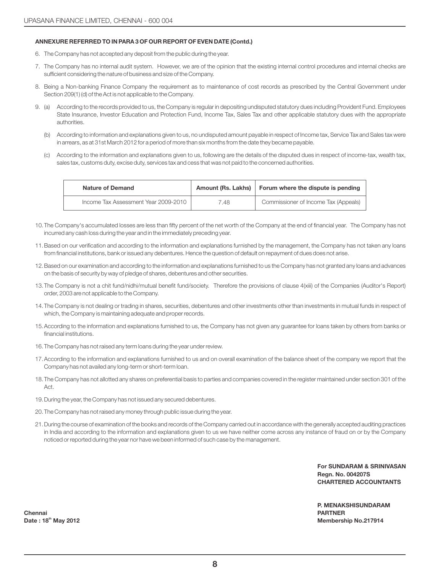## **ANNEXURE REFERRED TO IN PARA 3 OF OUR REPORT OF EVEN DATE (Contd.)**

- 6. The Company has not accepted any deposit from the public during the year.
- 7. The Company has no internal audit system. However, we are of the opinion that the existing internal control procedures and internal checks are sufficient considering the nature of business and size of the Company.
- 8. Being a Non-banking Finance Company the requirement as to maintenance of cost records as prescribed by the Central Government under Section 209(1) (d) of the Act is not applicable to the Company.
- 9. (a) According to the records provided to us, the Company is regular in depositing undisputed statutory dues including Provident Fund. Employees State Insurance, Investor Education and Protection Fund, Income Tax, Sales Tax and other applicable statutory dues with the appropriate authorities.
	- (b) According to information and explanations given to us, no undisputed amount payable in respect of Income tax, Service Tax and Sales tax were in arrears, as at 31st March 2012 for a period of more than six months from the date they became payable.
	- (c) According to the information and explanations given to us, following are the details of the disputed dues in respect of income-tax, wealth tax, sales tax, customs duty, excise duty, services tax and cess that was not paid to the concerned authorities.

| <b>Nature of Demand</b>              |      | Amount (Rs. Lakhs) Forum where the dispute is pending |
|--------------------------------------|------|-------------------------------------------------------|
| Income Tax Assessment Year 2009-2010 | 7.48 | Commissioner of Income Tax (Appeals)                  |

- 10.The Company's accumulated losses are less than fifty percent of the net worth of the Company at the end of financial year. The Company has not incurred any cash loss during the year and in the immediately preceding year.
- 11.Based on our verification and according to the information and explanations furnished by the management, the Company has not taken any loans from financial institutions, bank or issued any debentures. Hence the question of default on repayment of dues does not arise.
- 12.Based on our examination and according to the information and explanations furnished to us the Company has not granted any loans and advances on the basis of security by way of pledge of shares, debentures and other securities.
- 13.The Company is not a chit fund/nidhi/mutual benefit fund/society. Therefore the provisions of clause 4(xiii) of the Companies (Auditor's Report) order, 2003 are not applicable to the Company.
- 14.The Company is not dealing or trading in shares, securities, debentures and other investments other than investments in mutual funds in respect of which, the Company is maintaining adequate and proper records.
- 15.According to the information and explanations furnished to us, the Company has not given any guarantee for loans taken by others from banks or financial institutions.
- 16.The Company has not raised any term loans during the year under review.
- 17.According to the information and explanations furnished to us and on overall examination of the balance sheet of the company we report that the Company has not availed any long-term or short-term loan.
- 18.The Company has not allotted any shares on preferential basis to parties and companies covered in the register maintained under section 301 of the Act.
- 19.During the year, the Company has not issued any secured debentures.
- 20.The Company has not raised any money through public issue during the year.
- 21.During the course of examination of the books and records of the Company carried out in accordance with the generally accepted auditing practices in India and according to the information and explanations given to us we have neither come across any instance of fraud on or by the Company noticed or reported during the year nor have we been informed of such case by the management.

**For SUNDARAM & SRINIVASAN Regn. No. 004207S CHARTERED ACCOUNTANTS**

**P. MENAKSHISUNDARAM PARTNER Membership No.217914**

**Chennai th Date : 18 May 2012**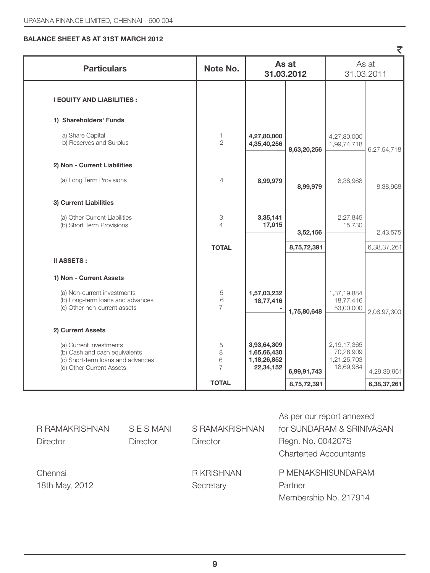## **BALANCE SHEET AS AT 31ST MARCH 2012**

| <b>Particulars</b>                                                                                                         | Note No.                          |                                                        | As at<br>31.03.2012        | As at<br>31.03.2011                                  |                            |  |
|----------------------------------------------------------------------------------------------------------------------------|-----------------------------------|--------------------------------------------------------|----------------------------|------------------------------------------------------|----------------------------|--|
| <b>I EQUITY AND LIABILITIES:</b>                                                                                           |                                   |                                                        |                            |                                                      |                            |  |
| 1) Shareholders' Funds                                                                                                     |                                   |                                                        |                            |                                                      |                            |  |
| a) Share Capital<br>b) Reserves and Surplus                                                                                | 1.<br>$\mathfrak{D}$              | 4,27,80,000<br>4,35,40,256                             | 8,63,20,256                | 4,27,80,000<br>1,99,74,718                           | 6,27,54,718                |  |
| 2) Non - Current Liabilities                                                                                               |                                   |                                                        |                            |                                                      |                            |  |
| (a) Long Term Provisions                                                                                                   | $\overline{4}$                    | 8,99,979                                               | 8,99,979                   | 8,38,968                                             | 8,38,968                   |  |
| 3) Current Liabilities                                                                                                     |                                   |                                                        |                            |                                                      |                            |  |
| (a) Other Current Liabilities<br>(b) Short Term Provisions                                                                 | 3<br>$\varDelta$                  | 3,35,141<br>17,015                                     |                            | 2,27,845<br>15,730                                   |                            |  |
|                                                                                                                            | <b>TOTAL</b>                      |                                                        | 3,52,156<br>8,75,72,391    |                                                      | 2,43,575<br>6,38,37,261    |  |
| <b>II ASSETS:</b>                                                                                                          |                                   |                                                        |                            |                                                      |                            |  |
| 1) Non - Current Assets<br>(a) Non-current investments<br>(b) Long-term loans and advances<br>(c) Other non-current assets | 5<br>6<br>$\overline{7}$          | 1,57,03,232<br>18,77,416                               | 1,75,80,648                | 1,37,19,884<br>18,77,416<br>53,00,000                | 2,08,97,300                |  |
| 2) Current Assets                                                                                                          |                                   |                                                        |                            |                                                      |                            |  |
| (a) Current investments<br>(b) Cash and cash equivalents<br>(c) Short-term loans and advances<br>(d) Other Current Assets  | 5<br>8<br>$\,6$<br>$\overline{7}$ | 3,93,64,309<br>1,65,66,430<br>1,18,26,852<br>22,34,152 |                            | 2,19,17,365<br>70,26,909<br>1,21,25,703<br>18,69,984 |                            |  |
|                                                                                                                            | <b>TOTAL</b>                      |                                                        | 6,99,91,743<br>8,75,72,391 |                                                      | 4,29,39,961<br>6,38,37,261 |  |

 $\overline{z}$ 

|                 |                 |                   | As per our report annexed     |
|-----------------|-----------------|-------------------|-------------------------------|
| R RAMAKRISHNAN  | SES MANI        | S RAMAKRISHNAN    | for SUNDARAM & SRINIVASAN     |
| <b>Director</b> | <b>Director</b> | Director          | Regn. No. 004207S             |
|                 |                 |                   | <b>Charterted Accountants</b> |
| Chennai         |                 | <b>R KRISHNAN</b> | P MENAKSHISUNDARAM            |
| 18th May, 2012  |                 | Secretary         | Partner                       |
|                 |                 |                   | Membership No. 217914         |
|                 |                 |                   |                               |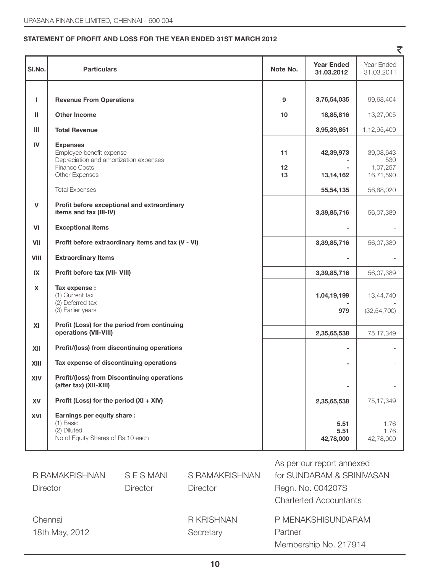## **STATEMENT OF PROFIT AND LOSS FOR THE YEAR ENDED 31ST MARCH 2012**

| SI.No.       | <b>Particulars</b>                                                                                                              | Note No.                    | <b>Year Ended</b><br>31.03.2012 | Year Ended<br>31.03.2011                  |
|--------------|---------------------------------------------------------------------------------------------------------------------------------|-----------------------------|---------------------------------|-------------------------------------------|
|              |                                                                                                                                 |                             |                                 |                                           |
| $\mathbf{I}$ | <b>Revenue From Operations</b>                                                                                                  | 9                           | 3,76,54,035                     | 99,68,404                                 |
| Ш            | <b>Other Income</b>                                                                                                             | 10 <sup>10</sup>            | 18,85,816                       | 13,27,005                                 |
| Ш            | <b>Total Revenue</b>                                                                                                            |                             | 3,95,39,851                     | 1,12,95,409                               |
| IV           | <b>Expenses</b><br>Employee benefit expense<br>Depreciation and amortization expenses<br><b>Finance Costs</b><br>Other Expenses | 11<br>12 <sup>2</sup><br>13 | 42,39,973<br>13,14,162          | 39,08,643<br>530<br>1,07,257<br>16,71,590 |
|              |                                                                                                                                 |                             |                                 |                                           |
|              | <b>Total Expenses</b>                                                                                                           |                             | 55,54,135                       | 56,88,020                                 |
| V            | Profit before exceptional and extraordinary<br>items and tax (III-IV)                                                           |                             | 3,39,85,716                     | 56,07,389                                 |
| VI           | <b>Exceptional items</b>                                                                                                        |                             |                                 |                                           |
| VII          | Profit before extraordinary items and tax (V - VI)                                                                              |                             | 3,39,85,716                     | 56,07,389                                 |
| VIII         | <b>Extraordinary Items</b>                                                                                                      |                             |                                 |                                           |
| IX           | Profit before tax (VII- VIII)                                                                                                   |                             | 3,39,85,716                     | 56,07,389                                 |
| X            | Tax expense :<br>(1) Current tax<br>(2) Deferred tax<br>(3) Earlier years                                                       |                             | 1,04,19,199<br>979              | 13,44,740<br>(32, 54, 700)                |
| XI           | Profit (Loss) for the period from continuing<br>operations (VII-VIII)                                                           |                             | 2,35,65,538                     | 75,17,349                                 |
| XII          | Profit/(loss) from discontinuing operations                                                                                     |                             |                                 |                                           |
| XIII         | Tax expense of discontinuing operations                                                                                         |                             |                                 |                                           |
| XIV          | Profit/(loss) from Discontinuing operations<br>(after tax) (XII-XIII)                                                           |                             |                                 |                                           |
| <b>XV</b>    | Profit (Loss) for the period (XI + XIV)                                                                                         |                             | 2,35,65,538                     | 75,17,349                                 |
| XVI          | Earnings per equity share:<br>(1) Basic<br>(2) Diluted<br>No of Equity Shares of Rs.10 each                                     |                             | 5.51<br>5.51<br>42,78,000       | 1.76<br>1.76<br>42,78,000                 |

 $\overline{r}$ 

|                |            |                   | As per our report annexed     |
|----------------|------------|-------------------|-------------------------------|
| R RAMAKRISHNAN | S E S MANI | S RAMAKRISHNAN    | for SUNDARAM & SRINIVASAN     |
| Director       | Director   | <b>Director</b>   | Regn. No. 004207S             |
|                |            |                   | <b>Charterted Accountants</b> |
| Chennai        |            | <b>R KRISHNAN</b> | P MENAKSHISUNDARAM            |
| 18th May, 2012 |            | Secretary         | Partner                       |
|                |            |                   | Membership No. 217914         |
|                |            |                   |                               |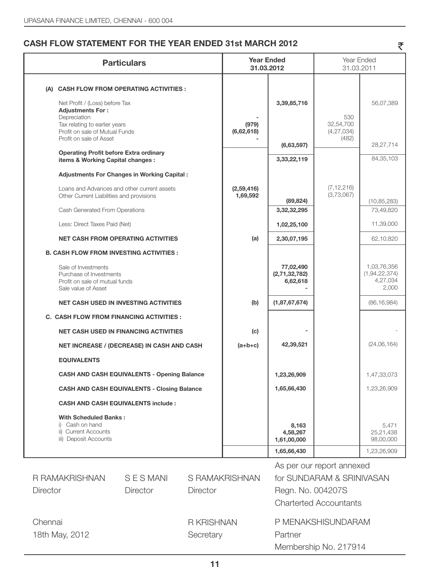# **CASH FLOW STATEMENT FOR THE YEAR ENDED 31st MARCH 2012** (

|          | <b>Particulars</b>                                                                                         |                                                    |          | <b>Year Ended</b><br>31.03.2012 |                                        | Year Ended<br>31.03.2011                  |                                                      |
|----------|------------------------------------------------------------------------------------------------------------|----------------------------------------------------|----------|---------------------------------|----------------------------------------|-------------------------------------------|------------------------------------------------------|
|          |                                                                                                            |                                                    |          |                                 |                                        |                                           |                                                      |
|          | Net Profit / (Loss) before Tax<br><b>Adjustments For:</b>                                                  | (A) CASH FLOW FROM OPERATING ACTIVITIES :          |          |                                 | 3,39,85,716                            |                                           | 56,07,389                                            |
|          | Depreciation<br>Tax relating to earlier years<br>Profit on sale of Mutual Funds<br>Profit on sale of Asset |                                                    |          | (979)<br>(6,62,618)             |                                        | 530<br>32,54,700<br>(4, 27, 034)<br>(482) |                                                      |
|          | <b>Operating Profit before Extra ordinary</b><br>items & Working Capital changes :                         |                                                    |          |                                 | (6,63,597)<br>3,33,22,119              |                                           | 28,27,714<br>84,35,103                               |
|          |                                                                                                            | Adjustments For Changes in Working Capital:        |          |                                 |                                        |                                           |                                                      |
|          | Loans and Advances and other current assets<br>Other Current Liabilities and provisions                    |                                                    |          | (2,59,416)<br>1,69,592          | (89, 824)                              | (7, 12, 216)<br>(3,73,067)                |                                                      |
|          | Cash Generated From Operations                                                                             |                                                    |          |                                 | 3,32,32,295                            |                                           | (10, 85, 283)<br>73,49,820                           |
|          | Less: Direct Taxes Paid (Net)                                                                              |                                                    |          |                                 | 1,02,25,100                            |                                           | 11,39,000                                            |
|          |                                                                                                            | <b>NET CASH FROM OPERATING ACTIVITIES</b>          |          | (a)                             | 2,30,07,195                            |                                           | 62,10,820                                            |
|          |                                                                                                            | <b>B. CASH FLOW FROM INVESTING ACTIVITIES:</b>     |          |                                 |                                        |                                           |                                                      |
|          | Sale of Investments<br>Purchase of Investments<br>Profit on sale of mutual funds<br>Sale value of Asset    |                                                    |          |                                 | 77,02,490<br>(2,71,32,782)<br>6,62,618 |                                           | 1,03,76,356<br>(1, 94, 22, 374)<br>4,27,034<br>2,000 |
|          |                                                                                                            | NET CASH USED IN INVESTING ACTIVITIES              |          | (b)                             | (1,87,67,674)                          |                                           | (86, 16, 984)                                        |
|          |                                                                                                            | C. CASH FLOW FROM FINANCING ACTIVITIES :           |          |                                 |                                        |                                           |                                                      |
|          |                                                                                                            | <b>NET CASH USED IN FINANCING ACTIVITIES</b>       |          | (c)                             |                                        |                                           |                                                      |
|          |                                                                                                            | <b>NET INCREASE / (DECREASE) IN CASH AND CASH</b>  |          | $(a+b+c)$                       | 42,39,521                              |                                           | (24, 06, 164)                                        |
|          | <b>EQUIVALENTS</b>                                                                                         |                                                    |          |                                 |                                        |                                           |                                                      |
|          |                                                                                                            | <b>CASH AND CASH EQUIVALENTS - Opening Balance</b> |          |                                 | 1,23,26,909                            |                                           | 1,47,33,073                                          |
|          |                                                                                                            | <b>CASH AND CASH EQUIVALENTS - Closing Balance</b> |          |                                 | 1,65,66,430                            |                                           | 1,23,26,909                                          |
|          | <b>CASH AND CASH EQUIVALENTS include:</b>                                                                  |                                                    |          |                                 |                                        |                                           |                                                      |
|          | <b>With Scheduled Banks:</b><br>i) Cash on hand<br>ii) Current Accounts<br>iii) Deposit Accounts           |                                                    |          |                                 | 8,163<br>4,58,267<br>1,61,00,000       |                                           | 5.471<br>25,21,438<br>98,00,000                      |
|          |                                                                                                            |                                                    |          |                                 | 1,65,66,430                            |                                           | 1,23,26,909                                          |
|          |                                                                                                            |                                                    |          |                                 |                                        | As per our report annexed                 |                                                      |
|          | R RAMAKRISHNAN                                                                                             | <b>SESMANI</b>                                     |          | S RAMAKRISHNAN                  |                                        | for SUNDARAM & SRINIVASAN                 |                                                      |
| Director |                                                                                                            | Director                                           | Director |                                 | Regn. No. 004207S                      | <b>Charterted Accountants</b>             |                                                      |
|          |                                                                                                            |                                                    |          |                                 |                                        |                                           |                                                      |

Chennai 18th May, 2012

Partner Membership No. 217914

P MENAKSHISUNDARAM

R KRISHNAN **Secretary**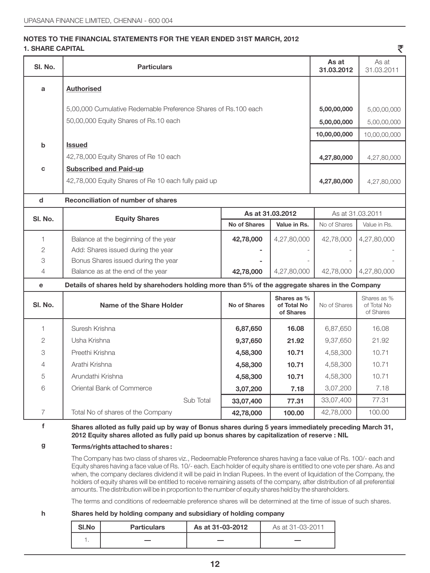## **NOTES TO THE FINANCIAL STATEMENTS FOR THE YEAR ENDED 31ST MARCH, 2012 1. SHARE CAPITAL**

| SI. No.        | <b>Particulars</b>                                                                                    |              |                                         |              |                                         |
|----------------|-------------------------------------------------------------------------------------------------------|--------------|-----------------------------------------|--------------|-----------------------------------------|
| a              | <b>Authorised</b>                                                                                     |              |                                         |              |                                         |
|                | 5,00,000 Cumulative Redemable Preference Shares of Rs.100 each                                        |              |                                         | 5,00,00,000  | 5,00,00,000                             |
|                | 50,00,000 Equity Shares of Rs.10 each                                                                 |              |                                         | 5,00,00,000  | 5,00,00,000                             |
|                |                                                                                                       |              |                                         | 10,00,00,000 | 10,00,00,000                            |
| b              | <b>Issued</b>                                                                                         |              |                                         |              |                                         |
|                | 42,78,000 Equity Shares of Re 10 each                                                                 |              |                                         | 4,27,80,000  | 4,27,80,000                             |
| C              | <b>Subscribed and Paid-up</b>                                                                         |              |                                         |              |                                         |
|                | 42,78,000 Equity Shares of Re 10 each fully paid up                                                   |              |                                         | 4,27,80,000  | 4,27,80,000                             |
| $\mathbf d$    | <b>Reconciliation of number of shares</b>                                                             |              |                                         |              |                                         |
| SI. No.        | <b>Equity Shares</b>                                                                                  |              | As at 31.03.2012                        |              | As at 31,03,2011                        |
|                |                                                                                                       | No of Shares | Value in Rs.                            | No of Shares | Value in Rs.                            |
| $\mathbf{1}$   | Balance at the beginning of the year                                                                  | 42,78,000    | 4.27.80.000                             | 42.78.000    | 4,27,80,000                             |
| $\overline{2}$ | Add: Shares issued during the year                                                                    |              |                                         |              |                                         |
| 3              | Bonus Shares issued during the year                                                                   |              |                                         |              |                                         |
| $\overline{4}$ | Balance as at the end of the year                                                                     | 42,78,000    | 4,27,80,000                             | 42,78,000    | 4,27,80,000                             |
| e              | Details of shares held by sharehoders holding more than 5% of the aggregate shares in the Company     |              |                                         |              |                                         |
| SI. No.        | Name of the Share Holder                                                                              | No of Shares | Shares as %<br>of Total No<br>of Shares | No of Shares | Shares as %<br>of Total No<br>of Shares |
| $\mathbf{1}$   | Suresh Krishna                                                                                        | 6,87,650     | 16.08                                   | 6,87,650     | 16.08                                   |
| $\overline{2}$ | Usha Krishna                                                                                          | 9,37,650     | 21.92                                   | 9,37,650     | 21.92                                   |
| 3              | Preethi Krishna                                                                                       | 4,58,300     | 10.71                                   | 4,58,300     | 10.71                                   |
| 4              | Arathi Krishna                                                                                        | 4,58,300     | 10.71                                   | 4,58,300     | 10.71                                   |
| 5              | Arundathi Krishna                                                                                     | 4,58,300     | 10.71                                   | 4,58,300     | 10.71                                   |
| 6              | Oriental Bank of Commerce                                                                             | 3,07,200     | 7.18                                    | 3,07,200     | 7.18                                    |
|                | Sub Total                                                                                             | 33,07,400    | 77.31                                   | 33,07,400    | 77.31                                   |
| 7              | Total No of shares of the Company                                                                     | 42,78,000    | 100.00                                  | 42,78,000    | 100.00                                  |
| f              | Shares alloted as fully paid up by way of Bonus shares during 5 years immediately preceding March 31. |              |                                         |              |                                         |

 $\Rightarrow$ 

lloted as fully paid up by way of Bonus shares during 5 years immediately preceding March **31**, **2012 Equity shares alloted as fully paid up bonus shares by capitalization of reserve : NIL**

### **g Terms/rights attached to shares :**

The Company has two class of shares viz., Redeemable Preference shares having a face value of Rs. 100/- each and Equity shares having a face value of Rs. 10/- each. Each holder of equity share is entitled to one vote per share. As and when, the company declares dividend it will be paid in Indian Rupees. In the event of liquidation of the Company, the holders of equity shares will be entitled to receive remaining assets of the company, after distribution of all preferential amounts. The distribution will be in proportion to the number of equity shares held by the shareholders.

The terms and conditions of redeemable preference shares will be determined at the time of issue of such shares.

## **h Shares held by holding company and subsidiary of holding company**

| SI.No | <b>Particulars</b> | As at 31-03-2012 | As at 31-03-2011 |
|-------|--------------------|------------------|------------------|
|       |                    |                  |                  |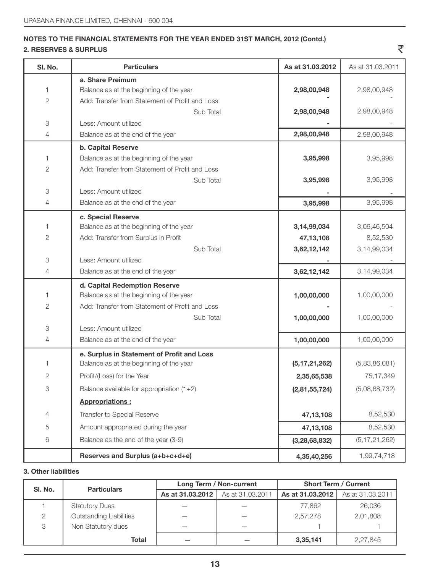## **NOTES TO THE FINANCIAL STATEMENTS FOR THE YEAR ENDED 31ST MARCH, 2012 (Contd.) 2. RESERVES & SURPLUS**

 $\bar{\tau}$ 

| SI. No.        | <b>Particulars</b>                                | As at 31.03.2012 | As at 31.03.2011 |
|----------------|---------------------------------------------------|------------------|------------------|
|                | a. Share Preimum                                  |                  |                  |
| 1              | Balance as at the beginning of the year           | 2,98,00,948      | 2,98,00,948      |
| $\overline{2}$ | Add: Transfer from Statement of Profit and Loss   |                  |                  |
|                | Sub Total                                         | 2,98,00,948      | 2,98,00,948      |
| 3              | Less: Amount utilized                             |                  |                  |
| $\overline{4}$ | Balance as at the end of the year                 | 2,98,00,948      | 2,98,00,948      |
|                | b. Capital Reserve                                |                  |                  |
| $\mathbf{1}$   | Balance as at the beginning of the year           | 3,95,998         | 3,95,998         |
| $\overline{2}$ | Add: Transfer from Statement of Profit and Loss   |                  |                  |
|                | Sub Total                                         | 3,95,998         | 3,95,998         |
| 3<br>4         | Less: Amount utilized                             |                  |                  |
|                | Balance as at the end of the year                 | 3,95,998         | 3,95,998         |
|                | c. Special Reserve                                |                  |                  |
| $\mathbf{1}$   | Balance as at the beginning of the year           | 3,14,99,034      | 3,06,46,504      |
| $\overline{2}$ | Add: Transfer from Surplus in Profit<br>Sub Total | 47, 13, 108      | 8,52,530         |
| 3              | Less: Amount utilized                             | 3,62,12,142      | 3,14,99,034      |
| $\overline{4}$ | Balance as at the end of the year                 | 3,62,12,142      | 3,14,99,034      |
|                | d. Capital Redemption Reserve                     |                  |                  |
| 1              | Balance as at the beginning of the year           | 1,00,00,000      | 1,00,00,000      |
| $\overline{2}$ | Add: Transfer from Statement of Profit and Loss   |                  |                  |
|                | Sub Total                                         | 1,00,00,000      | 1,00,00,000      |
| 3              | Less: Amount utilized                             |                  |                  |
| $\overline{4}$ | Balance as at the end of the year                 | 1,00,00,000      | 1,00,00,000      |
|                | e. Surplus in Statement of Profit and Loss        |                  |                  |
| $\mathbf{1}$   | Balance as at the beginning of the year           | (5, 17, 21, 262) | (5,83,86,081)    |
| 2              | Profit/(Loss) for the Year                        | 2,35,65,538      | 75,17,349        |
| 3              | Balance available for appropriation $(1+2)$       | (2,81,55,724)    | (5,08,68,732)    |
|                | <b>Appropriations:</b>                            |                  |                  |
| $\overline{4}$ | Transfer to Special Reserve                       | 47, 13, 108      | 8,52,530         |
| 5              | Amount appropriated during the year               | 47, 13, 108      | 8,52,530         |
| 6              | Balance as the end of the year (3-9)              | (3, 28, 68, 832) | (5, 17, 21, 262) |
|                | Reserves and Surplus (a+b+c+d+e)                  | 4,35,40,256      | 1,99,74,718      |

## **3. Other liabilities**

| SI. No. | <b>Particulars</b>             |                  | Long Term / Non-current | <b>Short Term / Current</b> |                  |  |
|---------|--------------------------------|------------------|-------------------------|-----------------------------|------------------|--|
|         |                                | As at 31.03.2012 | As at 31.03.2011        | As at 31,03,2012            | As at 31,03,2011 |  |
|         | <b>Statutory Dues</b>          |                  |                         | 77.862                      | 26.036           |  |
| 2       | <b>Outstanding Liabilities</b> |                  |                         | 2,57,278                    | 2,01,808         |  |
| 3       | Non Statutory dues             |                  |                         |                             |                  |  |
|         | Total                          |                  |                         | 3,35,141                    | 2.27.845         |  |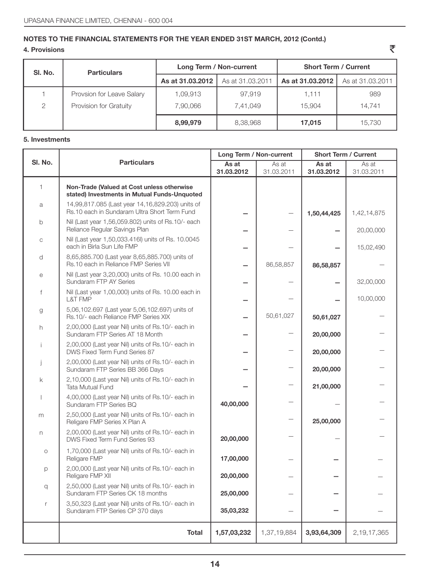## **4. Provisions**

| SI. No.       | <b>Particulars</b>        |                  | Long Term / Non-current | <b>Short Term / Current</b> |                  |  |
|---------------|---------------------------|------------------|-------------------------|-----------------------------|------------------|--|
|               |                           | As at 31.03.2012 | As at 31,03,2011        | As at 31.03.2012            | As at 31,03,2011 |  |
|               | Provsion for Leave Salary | 1,09,913         | 97.919                  | 1,111                       | 989              |  |
| $\mathcal{P}$ | Provision for Gratuity    | 7,90,066         | 7,41,049                | 15.904                      | 14.741           |  |
|               |                           | 8,99,979         | 8,38,968                | 17,015                      | 15.730           |  |

 $\bar{\tau}$ 

## **5. Investments**

|                |                                                                                                  | Long Term / Non-current |                          | <b>Short Term / Current</b> |                     |
|----------------|--------------------------------------------------------------------------------------------------|-------------------------|--------------------------|-----------------------------|---------------------|
| SI. No.        | <b>Particulars</b>                                                                               | As at<br>31.03.2012     | As at<br>31.03.2011      | As at<br>31.03.2012         | As at<br>31.03.2011 |
| $\mathbf{1}$   | Non-Trade (Valued at Cost unless otherwise<br>stated) Investments in Mutual Funds-Unquoted       |                         |                          |                             |                     |
| a              | 14,99,817.085 (Last year 14,16,829.203) units of<br>Rs.10 each in Sundaram Ultra Short Term Fund |                         |                          | 1,50,44,425                 | 1,42,14,875         |
| $\mathsf{b}$   | Nil (Last year 1,56,059.802) units of Rs.10/- each<br>Reliance Regular Savings Plan              |                         |                          |                             | 20,00,000           |
| $\mathsf{C}$   | Nil (Last year 1,50,033.416l) units of Rs. 10.0045<br>each in Birla Sun Life FMP                 |                         |                          |                             | 15,02,490           |
| d              | 8,65,885.700 (Last year 8,65,885.700) units of<br>Rs.10 each in Reliance FMP Series VII          |                         | 86,58,857                | 86,58,857                   |                     |
| e              | Nil (Last year 3,20,000) units of Rs. 10.00 each in<br>Sundaram FTP AY Series                    |                         |                          |                             | 32,00,000           |
| f              | Nil (Last year 1,00,000) units of Rs. 10.00 each in<br>L&T FMP                                   |                         |                          |                             | 10,00,000           |
| g              | 5,06,102.697 (Last year 5,06,102.697) units of<br>Rs.10/- each Reliance FMP Series XIX           |                         | 50,61,027                | 50,61,027                   |                     |
| h.             | 2,00,000 (Last year Nil) units of Rs.10/- each in<br>Sundaram FTP Series AT 18 Month             |                         |                          | 20,00,000                   |                     |
| i.             | 2,00,000 (Last year Nil) units of Rs.10/- each in<br>DWS Fixed Term Fund Series 87               |                         |                          | 20,00,000                   |                     |
| j              | 2,00,000 (Last year Nil) units of Rs.10/- each in<br>Sundaram FTP Series BB 366 Days             |                         | $\overline{\phantom{0}}$ | 20,00,000                   |                     |
| $\mathsf k$    | 2,10,000 (Last year Nil) units of Rs.10/- each in<br><b>Tata Mutual Fund</b>                     |                         |                          | 21,00,000                   |                     |
| $\overline{1}$ | 4,00,000 (Last year Nil) units of Rs.10/- each in<br>Sundaram FTP Series BQ                      | 40,00,000               |                          |                             |                     |
| m              | 2,50,000 (Last year Nil) units of Rs.10/- each in<br>Religare FMP Series X Plan A                |                         | $\overline{\phantom{0}}$ | 25,00,000                   |                     |
| n.             | 2,00,000 (Last year Nil) units of Rs.10/- each in<br>DWS Fixed Term Fund Series 93               | 20,00,000               |                          |                             |                     |
| $\circ$        | 1,70,000 (Last year Nil) units of Rs.10/- each in<br>Religare FMP                                | 17,00,000               |                          |                             |                     |
| p              | 2,00,000 (Last year Nil) units of Rs.10/- each in<br>Religare FMP XII                            | 20,00,000               |                          |                             |                     |
| q              | 2,50,000 (Last year Nil) units of Rs.10/- each in<br>Sundaram FTP Series CK 18 months            | 25,00,000               |                          |                             |                     |
| $\mathsf r$    | 3,50,323 (Last year Nil) units of Rs.10/- each in<br>Sundaram FTP Series CP 370 days             | 35,03,232               |                          |                             |                     |
|                | <b>Total</b>                                                                                     | 1,57,03,232             | 1,37,19,884              | 3,93,64,309                 | 2, 19, 17, 365      |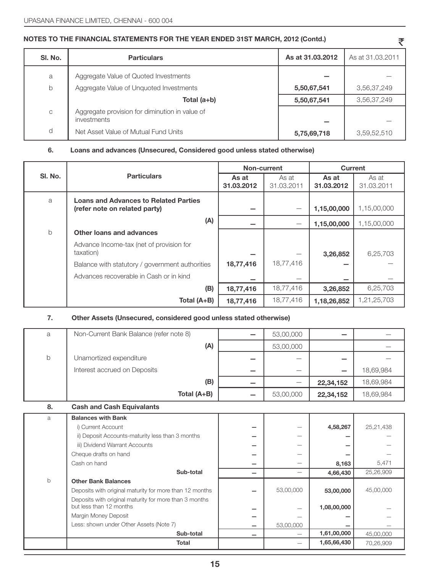| SI. No.      | <b>Particulars</b>                                            | As at 31,03,2012 | As at 31.03.2011 |
|--------------|---------------------------------------------------------------|------------------|------------------|
| a            | Aggregate Value of Quoted Investments                         |                  |                  |
| $\mathsf{b}$ | Aggregate Value of Unguoted Investments                       | 5,50,67,541      | 3,56,37,249      |
|              | Total $(a+b)$                                                 | 5,50,67,541      | 3,56,37,249      |
| $\mathbb C$  | Aggregate provision for diminution in value of<br>investments |                  |                  |
| d            | Net Asset Value of Mutual Fund Units                          | 5,75,69,718      | 3,59,52,510      |

₹

## **6. Loans and advances (Unsecured, Considered good unless stated otherwise)**

|             |                                                                               | Non-current |                     | <b>Current</b>      |                     |
|-------------|-------------------------------------------------------------------------------|-------------|---------------------|---------------------|---------------------|
| SI. No.     | <b>Particulars</b><br>31.03.2012                                              |             | As at<br>31.03.2011 | As at<br>31.03.2012 | As at<br>31.03.2011 |
| a           | <b>Loans and Advances to Related Parties</b><br>(refer note on related party) |             |                     | 1,15,00,000         | 1,15,00,000         |
|             | (A)                                                                           |             |                     | 1,15,00,000         | 1,15,00,000         |
| $\mathsf b$ | Other loans and advances                                                      |             |                     |                     |                     |
|             | Advance Income-tax (net of provision for<br>taxation)                         |             |                     | 3,26,852            | 6,25,703            |
|             | Balance with statutory / government authorities                               | 18,77,416   | 18,77,416           |                     |                     |
|             | Advances recoverable in Cash or in kind                                       |             |                     |                     |                     |
|             | (B)                                                                           | 18,77,416   | 18,77,416           | 3,26,852            | 6,25,703            |
|             | Total (A+B)                                                                   | 18,77,416   | 18,77,416           | 1,18,26,852         | 1,21,25,703         |

## **7. Other Assets (Unsecured, considered good unless stated otherwise)**

| a           | Non-Current Bank Balance (refer note 8)                                           |   | 53,00,000 |             |           |
|-------------|-----------------------------------------------------------------------------------|---|-----------|-------------|-----------|
|             | (A)                                                                               |   | 53,00,000 |             |           |
| b           | Unamortized expenditure                                                           |   |           |             |           |
|             | Interest accrued on Deposits                                                      |   |           |             | 18,69,984 |
|             | (B)                                                                               |   |           | 22,34,152   | 18,69,984 |
|             | Total (A+B)                                                                       |   | 53,00,000 | 22,34,152   | 18,69,984 |
| 8.          | <b>Cash and Cash Equivalants</b>                                                  |   |           |             |           |
| a           | <b>Balances with Bank</b>                                                         |   |           |             |           |
|             | i) Current Account                                                                |   |           | 4,58,267    | 25,21,438 |
|             | ii) Deposit Accounts-maturity less than 3 months                                  |   |           |             |           |
|             | iii) Dividend Warrant Accounts                                                    |   |           |             |           |
|             | Cheque drafts on hand                                                             |   |           |             |           |
|             | Cash on hand                                                                      |   |           | 8,163       | 5,471     |
|             | Sub-total                                                                         | — | —         | 4,66,430    | 25,26,909 |
| $\mathsf b$ | <b>Other Bank Balances</b>                                                        |   |           |             |           |
|             | Deposits with original maturity for more than 12 months                           |   | 53,00,000 | 53,00,000   | 45,00,000 |
|             | Deposits with original maturity for more than 3 months<br>but less than 12 months |   |           | 1,08,00,000 |           |
|             | Margin Money Deposit                                                              |   |           |             |           |
|             | Less: shown under Other Assets (Note 7)                                           |   | 53,00,000 |             |           |
|             | Sub-total                                                                         |   |           | 1,61,00,000 | 45,00,000 |
|             | Total                                                                             |   | -         | 1,65,66,430 | 70,26,909 |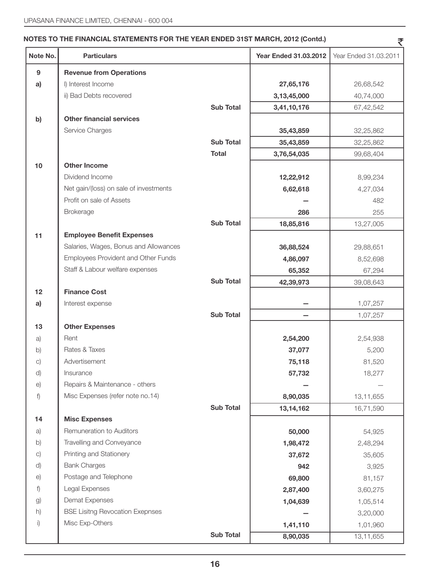| Note No.        | <b>Particulars</b>                     |                  | <b>Year Ended 31.03.2012</b> | Year Ended 31.03.2011 |
|-----------------|----------------------------------------|------------------|------------------------------|-----------------------|
| 9               | <b>Revenue from Operations</b>         |                  |                              |                       |
| a)              | I) Interest Income                     |                  | 27,65,176                    | 26,68,542             |
|                 | ii) Bad Debts recovered                |                  | 3,13,45,000                  | 40,74,000             |
|                 |                                        | <b>Sub Total</b> | 3,41,10,176                  | 67,42,542             |
| b)              | <b>Other financial services</b>        |                  |                              |                       |
|                 | Service Charges                        |                  | 35,43,859                    | 32,25,862             |
|                 |                                        | <b>Sub Total</b> | 35,43,859                    | 32,25,862             |
|                 |                                        | <b>Total</b>     | 3,76,54,035                  | 99,68,404             |
| 10              | <b>Other Income</b>                    |                  |                              |                       |
|                 | Dividend Income                        |                  | 12,22,912                    | 8,99,234              |
|                 | Net gain/(loss) on sale of investments |                  | 6,62,618                     | 4,27,034              |
|                 | Profit on sale of Assets               |                  |                              | 482                   |
|                 | <b>Brokerage</b>                       |                  | 286                          | 255                   |
|                 |                                        | <b>Sub Total</b> | 18,85,816                    | 13,27,005             |
| 11              | <b>Employee Benefit Expenses</b>       |                  |                              |                       |
|                 | Salaries, Wages, Bonus and Allowances  |                  | 36,88,524                    | 29,88,651             |
|                 | Employees Provident and Other Funds    |                  | 4,86,097                     | 8,52,698              |
|                 | Staff & Labour welfare expenses        |                  | 65,352                       | 67,294                |
|                 |                                        | <b>Sub Total</b> | 42,39,973                    | 39,08,643             |
| 12 <sub>2</sub> | <b>Finance Cost</b>                    |                  |                              |                       |
| a)              | Interest expense                       |                  |                              | 1,07,257              |
|                 |                                        | <b>Sub Total</b> |                              | 1,07,257              |
| 13              | <b>Other Expenses</b>                  |                  |                              |                       |
| a)              | Rent                                   |                  | 2,54,200                     | 2,54,938              |
| b)              | Rates & Taxes                          |                  | 37,077                       | 5,200                 |
| C)              | Advertisement                          |                  | 75,118                       | 81,520                |
| d)              | Insurance                              |                  | 57,732                       | 18,277                |
| e)              | Repairs & Maintenance - others         |                  |                              |                       |
| f)              | Misc Expenses (refer note no.14)       |                  | 8,90,035                     | 13,11,655             |
|                 |                                        | <b>Sub Total</b> | 13, 14, 162                  | 16,71,590             |
| 14              | <b>Misc Expenses</b>                   |                  |                              |                       |
| a)              | Remuneration to Auditors               |                  | 50,000                       | 54,925                |
| b)              | Travelling and Conveyance              |                  | 1,98,472                     | 2,48,294              |
| C)              | Printing and Stationery                |                  | 37,672                       | 35,605                |
| d)              | <b>Bank Charges</b>                    |                  | 942                          | 3,925                 |
| e)              | Postage and Telephone                  |                  | 69,800                       | 81,157                |
| f)              | Legal Expenses                         |                  | 2,87,400                     | 3,60,275              |
| g)              | Demat Expenses                         |                  | 1,04,639                     | 1,05,514              |
| h)              | <b>BSE Lisitng Revocation Exepnses</b> |                  |                              | 3,20,000              |
| i)              | Misc Exp-Others                        |                  | 1,41,110                     | 1,01,960              |
|                 |                                        | <b>Sub Total</b> | 8,90,035                     | 13,11,655             |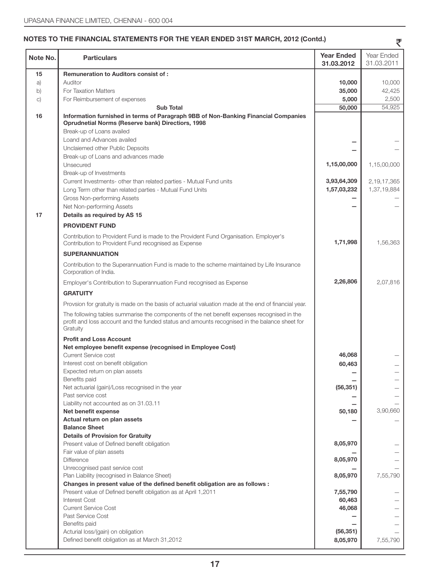$\bar{\tau}$ 

| Note No. | <b>Particulars</b>                                                                                                                                                                                       | <b>Year Ended</b><br>31.03.2012 | Year Ended<br>31.03.2011 |
|----------|----------------------------------------------------------------------------------------------------------------------------------------------------------------------------------------------------------|---------------------------------|--------------------------|
| 15       | <b>Remuneration to Auditors consist of:</b>                                                                                                                                                              |                                 |                          |
| a)       | Auditor                                                                                                                                                                                                  | 10,000                          | 10,000                   |
| b)       | <b>For Taxation Matters</b>                                                                                                                                                                              | 35,000                          | 42,425                   |
| C)       | For Reimbursement of expenses                                                                                                                                                                            | 5,000                           | 2,500                    |
|          | <b>Sub Total</b>                                                                                                                                                                                         | 50,000                          | 54,925                   |
| 16       | Information furnished in terms of Paragraph 9BB of Non-Banking Financial Companies<br>Oprudnetial Norms (Reserve bank) Directiors, 1998<br>Break-up of Loans availed                                     |                                 |                          |
|          | Loand and Advances availed                                                                                                                                                                               |                                 |                          |
|          | Unclaiemed other Public Depsoits                                                                                                                                                                         |                                 |                          |
|          | Break-up of Loans and advances made                                                                                                                                                                      |                                 |                          |
|          | Unsecured                                                                                                                                                                                                | 1,15,00,000                     | 1,15,00,000              |
|          | Break-up of Investments                                                                                                                                                                                  |                                 |                          |
|          | Current Investments- other than related parties - Mutual Fund units                                                                                                                                      | 3,93,64,309                     | 2, 19, 17, 365           |
|          | Long Term other than related parties - Mutual Fund Units                                                                                                                                                 | 1,57,03,232                     | 1,37,19,884              |
|          | Gross Non-performing Assets                                                                                                                                                                              |                                 |                          |
|          | Net Non-performing Assets                                                                                                                                                                                |                                 |                          |
| 17       | Details as required by AS 15                                                                                                                                                                             |                                 |                          |
|          | <b>PROVIDENT FUND</b>                                                                                                                                                                                    |                                 |                          |
|          | Contribution to Provident Fund is made to the Provident Fund Organisation. Employer's<br>Contribution to Provident Fund recognised as Expense                                                            | 1,71,998                        | 1.56.363                 |
|          | <b>SUPERANNUATION</b>                                                                                                                                                                                    |                                 |                          |
|          | Contribution to the Superannuation Fund is made to the scheme maintained by Life Insurance<br>Corporation of India.                                                                                      |                                 |                          |
|          | Employer's Contribution to Superannuation Fund recognised as Expense                                                                                                                                     | 2,26,806                        | 2,07,816                 |
|          | <b>GRATUITY</b>                                                                                                                                                                                          |                                 |                          |
|          | Provsion for gratuity is made on the basis of actuarial valuation made at the end of financial year.                                                                                                     |                                 |                          |
|          | The following tables summarise the components of the net benefit expenses recognised in the<br>profit and loss account and the funded status and amounts recognised in the balance sheet for<br>Gratuity |                                 |                          |
|          | <b>Profit and Loss Account</b>                                                                                                                                                                           |                                 |                          |
|          | Net employee benefit expense (recognised in Employee Cost)<br><b>Current Service cost</b>                                                                                                                | 46,068                          |                          |
|          | Interest cost on benefit obligation                                                                                                                                                                      | 60,463                          |                          |
|          | Expected return on plan assets                                                                                                                                                                           |                                 |                          |
|          | Benefits paid                                                                                                                                                                                            |                                 |                          |
|          | Net actuarial (gain)/Loss recognised in the year                                                                                                                                                         | (56, 351)                       |                          |
|          | Past service cost                                                                                                                                                                                        |                                 |                          |
|          | Liability not accounted as on 31.03.11<br>Net benefit expense                                                                                                                                            | 50,180                          | 3,90,660                 |
|          | Actual return on plan assets                                                                                                                                                                             |                                 |                          |
|          | <b>Balance Sheet</b>                                                                                                                                                                                     |                                 |                          |
|          | <b>Details of Provision for Gratuity</b>                                                                                                                                                                 |                                 |                          |
|          | Present value of Defined benefit obligation                                                                                                                                                              | 8,05,970                        |                          |
|          | Fair value of plan assets<br>Difference                                                                                                                                                                  | 8,05,970                        |                          |
|          | Unrecognised past service cost                                                                                                                                                                           |                                 |                          |
|          | Plan Liability (recognised in Balance Sheet)                                                                                                                                                             | 8,05,970                        | 7,55,790                 |
|          | Changes in present value of the defined benefit obligation are as follows :                                                                                                                              |                                 |                          |
|          | Present value of Defined benefit obligation as at April 1,2011                                                                                                                                           | 7,55,790                        |                          |
|          | <b>Interest Cost</b><br><b>Current Service Cost</b>                                                                                                                                                      | 60,463<br>46,068                |                          |
|          | Past Service Cost                                                                                                                                                                                        |                                 |                          |
|          | Benefits paid                                                                                                                                                                                            |                                 |                          |
|          | Acturial loss/(gain) on obligation                                                                                                                                                                       | (56, 351)                       |                          |
|          | Defined benefit obligation as at March 31,2012                                                                                                                                                           | 8,05,970                        | 7,55,790                 |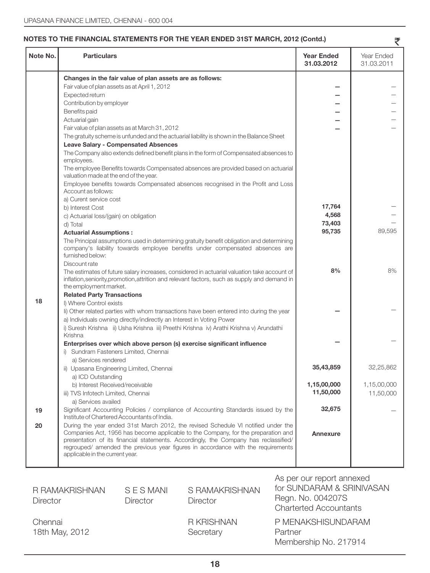| Note No. | <b>Particulars</b>                                                                                                                                                                                                                                                                                                                                                                    | <b>Year Ended</b><br>31.03.2012 | Year Ended<br>31.03.2011 |
|----------|---------------------------------------------------------------------------------------------------------------------------------------------------------------------------------------------------------------------------------------------------------------------------------------------------------------------------------------------------------------------------------------|---------------------------------|--------------------------|
|          | Changes in the fair value of plan assets are as follows:                                                                                                                                                                                                                                                                                                                              |                                 |                          |
|          | Fair value of plan assets as at April 1, 2012                                                                                                                                                                                                                                                                                                                                         |                                 |                          |
|          | Expected return                                                                                                                                                                                                                                                                                                                                                                       |                                 |                          |
|          | Contribution by employer                                                                                                                                                                                                                                                                                                                                                              |                                 |                          |
|          | Benefits paid                                                                                                                                                                                                                                                                                                                                                                         |                                 |                          |
|          | Actuarial gain                                                                                                                                                                                                                                                                                                                                                                        |                                 |                          |
|          | Fair value of plan assets as at March 31, 2012                                                                                                                                                                                                                                                                                                                                        |                                 |                          |
|          | The gratuity scheme is unfunded and the actuarial liability is shown in the Balance Sheet                                                                                                                                                                                                                                                                                             |                                 |                          |
|          | <b>Leave Salary - Compensated Absences</b>                                                                                                                                                                                                                                                                                                                                            |                                 |                          |
|          | The Company also extends defined benefit plans in the form of Compensated absences to<br>employees.                                                                                                                                                                                                                                                                                   |                                 |                          |
|          | The employee Benefits towards Compensated absences are provided based on actuarial<br>valuation made at the end of the year.                                                                                                                                                                                                                                                          |                                 |                          |
|          | Employee benefits towards Compensated absences recognised in the Profit and Loss<br>Account as follows:                                                                                                                                                                                                                                                                               |                                 |                          |
|          | a) Curent service cost                                                                                                                                                                                                                                                                                                                                                                |                                 |                          |
|          | b) Interest Cost                                                                                                                                                                                                                                                                                                                                                                      | 17.764                          |                          |
|          | c) Actuarial loss/(gain) on obligation                                                                                                                                                                                                                                                                                                                                                | 4,568                           |                          |
|          | d) Total                                                                                                                                                                                                                                                                                                                                                                              | 73,403                          |                          |
|          | <b>Actuarial Assumptions:</b>                                                                                                                                                                                                                                                                                                                                                         | 95,735                          | 89,595                   |
|          | The Principal assumptions used in determining gratuity benefit obligation and determining<br>company's liability towards employee benefits under compensated absences are<br>furnished below:<br>Discount rate                                                                                                                                                                        |                                 |                          |
|          | The estimates of future salary increases, considered in actuarial valuation take account of<br>inflation, seniority, promotion, attrition and relevant factors, such as supply and demand in<br>the employment market.                                                                                                                                                                | 8%                              | 8%                       |
|          | <b>Related Party Transactions</b>                                                                                                                                                                                                                                                                                                                                                     |                                 |                          |
| 18       | I) Where Control exists                                                                                                                                                                                                                                                                                                                                                               |                                 |                          |
|          | li) Other related parties with whom transactions have been entered into during the year                                                                                                                                                                                                                                                                                               |                                 |                          |
|          | a) Individuals owning directly/indirectly an Interest in Voting Power                                                                                                                                                                                                                                                                                                                 |                                 |                          |
|          | i) Suresh Krishna ii) Usha Krishna iii) Preethi Krishna iv) Arathi Krishna v) Arundathi                                                                                                                                                                                                                                                                                               |                                 |                          |
|          | Krishna                                                                                                                                                                                                                                                                                                                                                                               |                                 |                          |
|          | Enterprises over which above person (s) exercise significant influence                                                                                                                                                                                                                                                                                                                |                                 |                          |
|          | i) Sundram Fasteners Limited, Chennai                                                                                                                                                                                                                                                                                                                                                 |                                 |                          |
|          | a) Services rendered                                                                                                                                                                                                                                                                                                                                                                  |                                 |                          |
|          | ii) Upasana Engineering Limited, Chennai                                                                                                                                                                                                                                                                                                                                              | 35,43,859                       | 32,25,862                |
|          | a) ICD Outstanding                                                                                                                                                                                                                                                                                                                                                                    |                                 |                          |
|          | b) Interest Received/receivable                                                                                                                                                                                                                                                                                                                                                       | 1,15,00,000                     | 1,15,00,000              |
|          | iii) TVS Infotech Limited, Chennai                                                                                                                                                                                                                                                                                                                                                    | 11,50,000                       | 11,50,000                |
|          | a) Services availed                                                                                                                                                                                                                                                                                                                                                                   |                                 |                          |
| 19       | Significant Accounting Policies / compliance of Accounting Standards issued by the<br>Institute of Chartered Accountants of India.                                                                                                                                                                                                                                                    | 32,675                          |                          |
| 20       | During the year ended 31st March 2012, the revised Schedule VI notified under the<br>Companies Act, 1956 has become applicable to the Company, for the preparation and<br>presentation of its financial statements. Accordingly, the Company has reclassified/<br>regrouped/ amended the previous year figures in accordance with the requirements<br>applicable in the current year. | Annexure                        |                          |

| R RAMAKRISHNAN<br><b>Director</b> | S E S MANI<br>Director | S RAMAKRISHNAN<br><b>Director</b> | for SUNDARAM & SRINIVASAN<br>Regn. No. 004207S<br><b>Charterted Accountants</b> |
|-----------------------------------|------------------------|-----------------------------------|---------------------------------------------------------------------------------|
| Chennai<br>18th May, 2012         |                        | R KRISHNAN<br>Secretary           | P MENAKSHISUNDARAM<br>Partner<br>Membership No. 217914                          |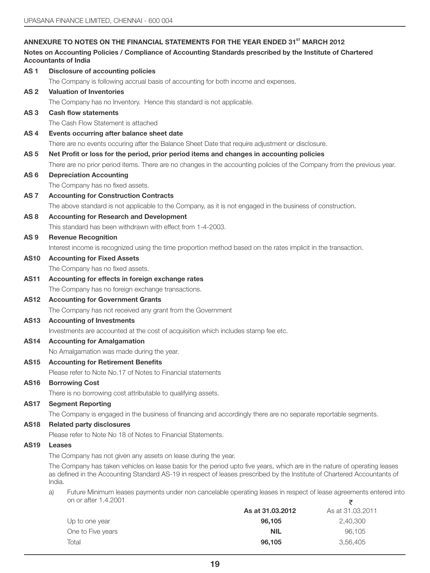## ANNEXURE TO NOTES ON THE FINANCIAL STATEMENTS FOR THE YEAR ENDED 31<sup>8T</sup> MARCH 2012

## **Notes on Accounting Policies / Compliance of Accounting Standards prescribed by the Institute of Chartered Accountants of India AS 1 Disclosure of accounting policies**

The Company is following accrual basis of accounting for both income and expenses. **AS 2 Valuation of Inventories** The Company has no Inventory. Hence this standard is not applicable. **AS 3 Cash flow statements** The Cash Flow Statement is attached **AS 4 Events occurring after balance sheet date** There are no events occuring after the Balance Sheet Date that require adjustment or disclosure. **AS 5 Net Profit or loss for the period, prior period items and changes in accounting policies** There are no prior period items. There are no changes in the accounting policies of the Company from the previous year. **AS 6 Depreciation Accounting** The Company has no fixed assets. **AS 7 Accounting for Construction Contracts** The above standard is not applicable to the Company, as it is not engaged in the business of construction. **AS 8 Accounting for Research and Development** This standard has been withdrawn with effect from 1-4-2003. **AS 9 Revenue Recognition** Interest income is recognized using the time proportion method based on the rates implicit in the transaction. **AS10 Accounting for Fixed Assets** The Company has no fixed assets. **AS11 Accounting for effects in foreign exchange rates** The Company has no foreign exchange transactions. **AS12 Accounting for Government Grants** The Company has not received any grant from the Government **AS13 Accounting of Investments** Investments are accounted at the cost of acquisition which includes stamp fee etc. **AS14 Accounting for Amalgamation** No Amalgamation was made during the year. **AS15 Accounting for Retirement Benefits** Please refer to Note No.17 of Notes to Financial statements **AS16 Borrowing Cost** There is no borrowing cost attributable to qualifying assets. **AS17 Segment Reporting** The Company is engaged in the business of financing and accordingly there are no separate reportable segments. **AS18 Related party disclosures** Please refer to Note No 18 of Notes to Financial Statements. **AS19 Leases** The Company has not given any assets on lease during the year. The Company has taken vehicles on lease basis for the period upto five years, which are in the nature of operating leases as defined in the Accounting Standard AS-19 in respect of leases prescribed by the Institute of Chartered Accountants of India. a) Future Minimum leases payments under non cancelable operating leases in respect of lease agreements entered into on or after 1.4.2001 **As at 31.03.2012** As at 31.03.2011 Up to one year **96,105** 2,40,300 One to Five years **NIL** 96,105 ₹

Total **96,105** 3,56,405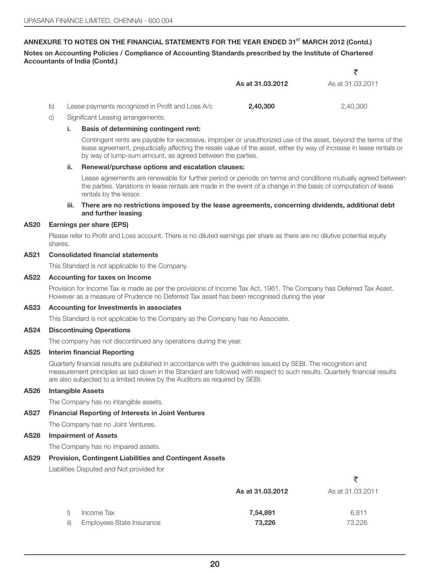## ANNEXURE TO NOTES ON THE FINANCIAL STATEMENTS FOR THE YEAR ENDED 31<sup>8T</sup> MARCH 2012 (Contd.) **Notes on Accounting Policies / Compliance of Accounting Standards prescribed by the Institute of Chartered Accountants of India (Contd.)**

|                                                  | As at 31,03,2012 | As at 31.03.2011 |
|--------------------------------------------------|------------------|------------------|
| Lease payments recognized in Profit and Loss A/c | 2,40,300         | 2.40.300         |

c) Significant Leasing arrangements:

## **i. Basis of determining contingent rent:**

Contingent rents are payable for excessive, improper or unauthorized use of the asset, beyond the terms of the lease agreement, prejudicially affecting the resale value of the asset, either by way of increase in lease rentals or by way of lump-sum amount, as agreed between the parties.

## **ii. Renewal/purchase options and escalation clauses:**

Lease agreements are renewable for further period or periods on terms and conditions mutually agreed between the parties. Variations in lease rentals are made in the event of a change in the basis of computation of lease rentals by the lessor.

## **iii. There are no restrictions imposed by the lease agreements, concerning dividends, additional debt and further leasing**

## **AS20 Earnings per share (EPS)**

Please refer to Profit and Loss account. There is no diluted earnings per share as there are no dilutive potential equity shares.

## **AS21 Consolidated financial statements**

This Standard is not applicable to the Company.

## **AS22 Accounting for taxes on Income**

Provision for Income Tax is made as per the provisions of Income Tax Act, 1961. The Company has Deferred Tax Asset. However as a measure of Prudence no Deferred Tax asset has been recognised during the year

## **AS23 Accounting for Investments in associates**

This Standard is not applicable to the Company as the Company has no Associate.

## **AS24 Discontinuing Operations**

The company has not discontinued any operations during the year.

## **AS25 Interim financial Reporting**

Quarterly financial results are published in accordance with the guidelines issued by SEBI. The recognition and measurement principles as laid down in the Standard are followed with respect to such results. Quarterly financial results are also subjected to a limited review by the Auditors as required by SEBI.

## **AS26 Intangible Assets**

The Company has no intangible assets.

## **AS27 Financial Reporting of Interests in Joint Ventures**

The Company has no Joint Ventures.

## **AS28 Impairment of Assets**

The Company has no impaired assets.

## **AS29 Provision, Contingent Liabilities and Contingent Assets**

Liabilities Disputed and Not provided for

|     |                           | As at 31.03.2012 | As at 31.03.2011 |
|-----|---------------------------|------------------|------------------|
| ii) | Income Tax                | 7,54,891         | 6.811            |
|     | Employees State Insurance | 73,226           | 73.226           |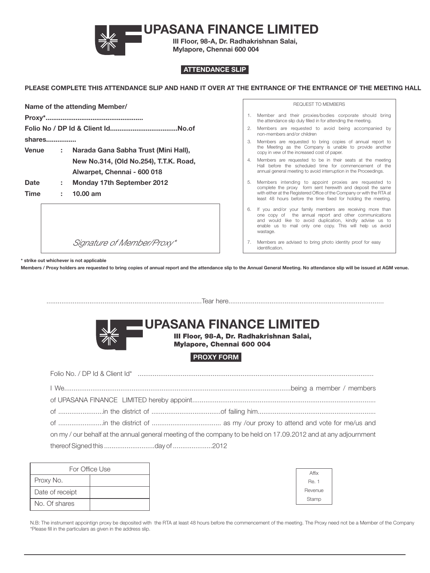

# **UPASANA FINANCE LIMITED**

**III Floor, 98-A, Dr. Radhakrishnan Salai, Mylapore, Chennai 600 004**

## **ATTENDANCE SLIP**

## **PLEASE COMPLETE THIS ATTENDANCE SLIP AND HAND IT OVER AT THE ENTRANCE OF THE ENTRANCE OF THE MEETING HALL**

|             |    | Name of the attending Member/                                                                                   |
|-------------|----|-----------------------------------------------------------------------------------------------------------------|
|             |    |                                                                                                                 |
| shares      |    |                                                                                                                 |
| Venue       |    | : Narada Gana Sabha Trust (Mini Hall).<br>New No.314, (Old No.254), T.T.K. Road.<br>Alwarpet, Chennai - 600 018 |
| Date        | t. | Monday 17th September 2012                                                                                      |
| <b>Time</b> | t. | $10.00$ am                                                                                                      |
|             |    |                                                                                                                 |

*Signature of Member/Proxy\**

REQUEST TO MEMBERS

- 1. Member and their proxies/bodies corporate should bring the attendance slip duly filled in for attending the meeting.
- 2. Members are requested to avoid being accompanied by non-members and/or children
- 3. Members are requested to bring copies of annual report to the Meeting as the Company is unable to provide another copy in vew of the increased cost of paper.
- 4. Members are requested to be in their seats at the meeting Hall before the scheduled time for commencement of the annual general meeting to avoid interruption in the Proceedings.
- 5. Members intending to appoint proxies are requested to complete the proxy form sent herewith and deposit the same with either at the Registered Office of the Company or with the RTA at least 48 hours before the time fixed for holding the meeting.
- 6. If you and/or your family members are receiving more than the annual report and other communications and would like to avoid duplication, kindly advise us to enable us to mail only one copy. This will help us avoid wastage.
- 7. Members are advised to bring photo identity proof for easy identification.

**\* strike out whichever is not applicable**

**Members / Proxy holders are requested to bring copies of annual report and the attendance slip to the Annual General Meeting. No attendance slip will be issued at AGM venue.**

| UPASANA FINANCE LIMITED<br>III Floor, 98-A, Dr. Radhakrishnan Salai,<br><b>Mylapore, Chennai 600 004</b>        |
|-----------------------------------------------------------------------------------------------------------------|
| <b>PROXY FORM</b>                                                                                               |
|                                                                                                                 |
|                                                                                                                 |
|                                                                                                                 |
|                                                                                                                 |
|                                                                                                                 |
| on my / our behalf at the annual general meeting of the company to be held on 17.09.2012 and at any adjournment |
|                                                                                                                 |
|                                                                                                                 |

| For Office Use  |  |  |  |
|-----------------|--|--|--|
| Proxy No.       |  |  |  |
| Date of receipt |  |  |  |
| No. Of shares   |  |  |  |

| Affix   |
|---------|
| Re. 1   |
| Revenue |
| Stamp   |

N.B: The instrument appointign proxy be deposited with the RTA at least 48 hours before the commencement of the meeting. The Proxy need not be a Member of the Company \*Please fill in the particulars as given in the address slip.